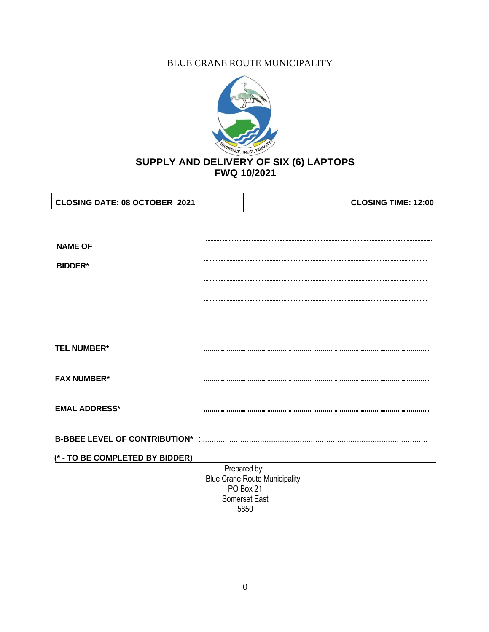# BLUE CRANE ROUTE MUNICIPALITY



| <b>NAME OF</b>                                    |
|---------------------------------------------------|
|                                                   |
|                                                   |
|                                                   |
| <b>BIDDER*</b>                                    |
|                                                   |
|                                                   |
|                                                   |
|                                                   |
|                                                   |
| <b>TEL NUMBER*</b>                                |
|                                                   |
| <b>FAX NUMBER*</b>                                |
|                                                   |
| <b>EMAL ADDRESS*</b>                              |
|                                                   |
| <b>B-BBEE LEVEL OF CONTRIBUTION* :.</b>           |
| (* - TO BE COMPLETED BY BIDDER)                   |
|                                                   |
| Prepared by:                                      |
| <b>Blue Crane Route Municipality</b><br>PO Box 21 |
| Somerset East                                     |

5850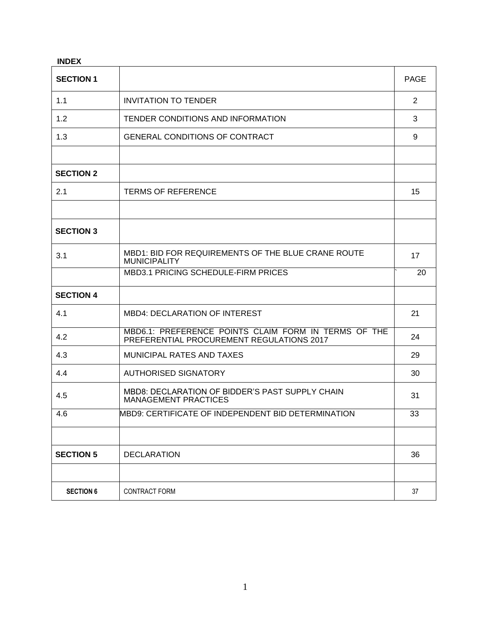| <b>INDEX</b>     |                                                                                                   |             |
|------------------|---------------------------------------------------------------------------------------------------|-------------|
| <b>SECTION 1</b> |                                                                                                   | <b>PAGE</b> |
| 1.1              | <b>INVITATION TO TENDER</b>                                                                       | 2           |
| 1.2              | TENDER CONDITIONS AND INFORMATION                                                                 | 3           |
| 1.3              | <b>GENERAL CONDITIONS OF CONTRACT</b>                                                             | 9           |
|                  |                                                                                                   |             |
| <b>SECTION 2</b> |                                                                                                   |             |
| 2.1              | <b>TERMS OF REFERENCE</b>                                                                         | 15          |
|                  |                                                                                                   |             |
| <b>SECTION 3</b> |                                                                                                   |             |
| 3.1              | MBD1: BID FOR REQUIREMENTS OF THE BLUE CRANE ROUTE<br><b>MUNICIPALITY</b>                         | 17          |
|                  | MBD3.1 PRICING SCHEDULE-FIRM PRICES                                                               | 20          |
| <b>SECTION 4</b> |                                                                                                   |             |
| 4.1              | <b>MBD4: DECLARATION OF INTEREST</b>                                                              | 21          |
| 4.2              | MBD6.1: PREFERENCE POINTS CLAIM FORM IN TERMS OF THE<br>PREFERENTIAL PROCUREMENT REGULATIONS 2017 | 24          |
| 4.3              | MUNICIPAL RATES AND TAXES                                                                         | 29          |
| 4.4              | <b>AUTHORISED SIGNATORY</b>                                                                       | 30          |
| 4.5              | MBD8: DECLARATION OF BIDDER'S PAST SUPPLY CHAIN<br><b>MANAGEMENT PRACTICES</b>                    | 31          |
| 4.6              | MBD9: CERTIFICATE OF INDEPENDENT BID DETERMINATION                                                | 33          |
|                  |                                                                                                   |             |
| <b>SECTION 5</b> | <b>DECLARATION</b>                                                                                | 36          |
|                  |                                                                                                   |             |
| <b>SECTION 6</b> | <b>CONTRACT FORM</b>                                                                              | 37          |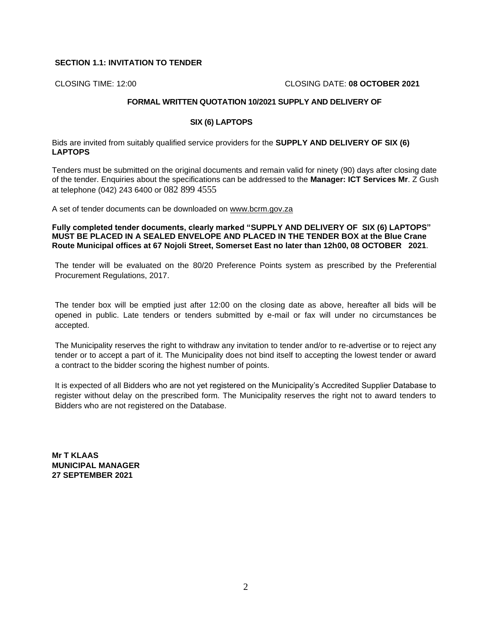### **SECTION 1.1: INVITATION TO TENDER**

CLOSING TIME: 12:00 CLOSING DATE: **08 OCTOBER 2021**

## **FORMAL WRITTEN QUOTATION 10/2021 SUPPLY AND DELIVERY OF**

### **SIX (6) LAPTOPS**

Bids are invited from suitably qualified service providers for the **SUPPLY AND DELIVERY OF SIX (6) LAPTOPS**

Tenders must be submitted on the original documents and remain valid for ninety (90) days after closing date of the tender. Enquiries about the specifications can be addressed to the **Manager: ICT Services Mr**. Z Gush at telephone (042) 243 6400 or 082 899 4555

A set of tender documents can be downloaded on [www.bcrm.gov.za](http://www.bcrm.gov.za/)

**Fully completed tender documents, clearly marked "SUPPLY AND DELIVERY OF SIX (6) LAPTOPS" MUST BE PLACED IN A SEALED ENVELOPE AND PLACED IN THE TENDER BOX at the Blue Crane Route Municipal offices at 67 Nojoli Street, Somerset East no later than 12h00, 08 OCTOBER 2021**.

The tender will be evaluated on the 80/20 Preference Points system as prescribed by the Preferential Procurement Regulations, 2017.

The tender box will be emptied just after 12:00 on the closing date as above, hereafter all bids will be opened in public. Late tenders or tenders submitted by e-mail or fax will under no circumstances be accepted.

The Municipality reserves the right to withdraw any invitation to tender and/or to re-advertise or to reject any tender or to accept a part of it. The Municipality does not bind itself to accepting the lowest tender or award a contract to the bidder scoring the highest number of points.

It is expected of all Bidders who are not yet registered on the Municipality's Accredited Supplier Database to register without delay on the prescribed form. The Municipality reserves the right not to award tenders to Bidders who are not registered on the Database.

**Mr T KLAAS MUNICIPAL MANAGER 27 SEPTEMBER 2021**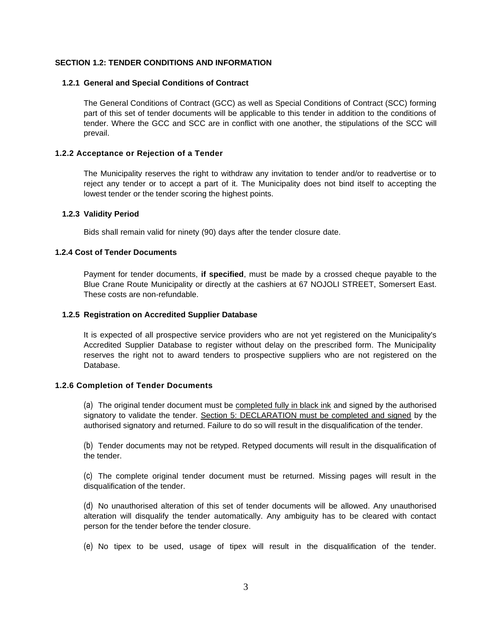### **SECTION 1.2: TENDER CONDITIONS AND INFORMATION**

### **1.2.1 General and Special Conditions of Contract**

The General Conditions of Contract (GCC) as well as Special Conditions of Contract (SCC) forming part of this set of tender documents will be applicable to this tender in addition to the conditions of tender. Where the GCC and SCC are in conflict with one another, the stipulations of the SCC will prevail.

### **1.2.2 Acceptance or Rejection of a Tender**

The Municipality reserves the right to withdraw any invitation to tender and/or to readvertise or to reject any tender or to accept a part of it. The Municipality does not bind itself to accepting the lowest tender or the tender scoring the highest points.

### **1.2.3 Validity Period**

Bids shall remain valid for ninety (90) days after the tender closure date.

### **1.2.4 Cost of Tender Documents**

Payment for tender documents, **if specified**, must be made by a crossed cheque payable to the Blue Crane Route Municipality or directly at the cashiers at 67 NOJOLI STREET, Somersert East. These costs are non-refundable.

### **1.2.5 Registration on Accredited Supplier Database**

It is expected of all prospective service providers who are not yet registered on the Municipality's Accredited Supplier Database to register without delay on the prescribed form. The Municipality reserves the right not to award tenders to prospective suppliers who are not registered on the Database.

### **1.2.6 Completion of Tender Documents**

(a) The original tender document must be completed fully in black ink and signed by the authorised signatory to validate the tender. Section 5: DECLARATION must be completed and signed by the authorised signatory and returned. Failure to do so will result in the disqualification of the tender.

(b) Tender documents may not be retyped. Retyped documents will result in the disqualification of the tender.

(c) The complete original tender document must be returned. Missing pages will result in the disqualification of the tender.

(d) No unauthorised alteration of this set of tender documents will be allowed. Any unauthorised alteration will disqualify the tender automatically. Any ambiguity has to be cleared with contact person for the tender before the tender closure.

(e) No tipex to be used, usage of tipex will result in the disqualification of the tender.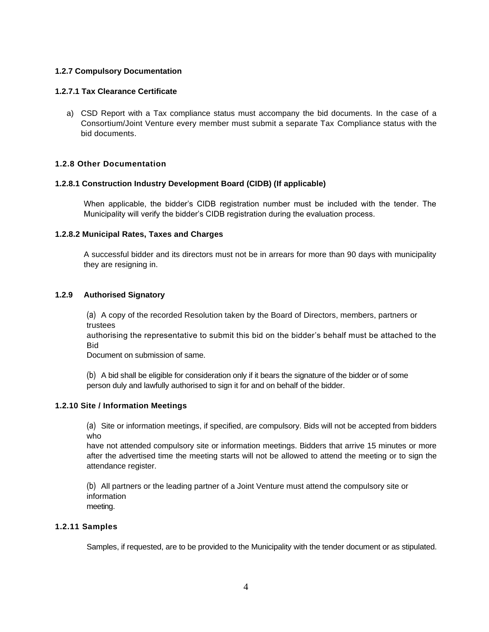## **1.2.7 Compulsory Documentation**

### **1.2.7.1 Tax Clearance Certificate**

a) CSD Report with a Tax compliance status must accompany the bid documents. In the case of a Consortium/Joint Venture every member must submit a separate Tax Compliance status with the bid documents.

## **1.2.8 Other Documentation**

### **1.2.8.1 Construction Industry Development Board (CIDB) (If applicable)**

When applicable, the bidder's CIDB registration number must be included with the tender. The Municipality will verify the bidder's CIDB registration during the evaluation process.

### **1.2.8.2 Municipal Rates, Taxes and Charges**

A successful bidder and its directors must not be in arrears for more than 90 days with municipality they are resigning in.

### **1.2.9 Authorised Signatory**

(a) A copy of the recorded Resolution taken by the Board of Directors, members, partners or trustees

authorising the representative to submit this bid on the bidder's behalf must be attached to the Bid

Document on submission of same.

(b) A bid shall be eligible for consideration only if it bears the signature of the bidder or of some person duly and lawfully authorised to sign it for and on behalf of the bidder.

### **1.2.10 Site / Information Meetings**

(a) Site or information meetings, if specified, are compulsory. Bids will not be accepted from bidders who

have not attended compulsory site or information meetings. Bidders that arrive 15 minutes or more after the advertised time the meeting starts will not be allowed to attend the meeting or to sign the attendance register.

(b) All partners or the leading partner of a Joint Venture must attend the compulsory site or information meeting.

### **1.2.11 Samples**

Samples, if requested, are to be provided to the Municipality with the tender document or as stipulated.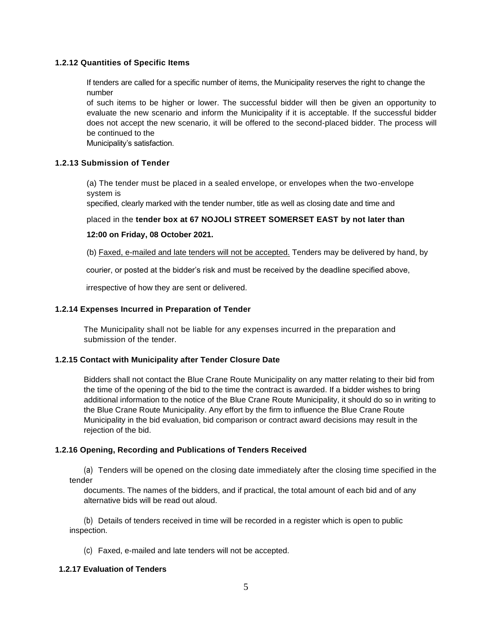### **1.2.12 Quantities of Specific Items**

If tenders are called for a specific number of items, the Municipality reserves the right to change the number

of such items to be higher or lower. The successful bidder will then be given an opportunity to evaluate the new scenario and inform the Municipality if it is acceptable. If the successful bidder does not accept the new scenario, it will be offered to the second-placed bidder. The process will be continued to the

Municipality's satisfaction.

### **1.2.13 Submission of Tender**

(a) The tender must be placed in a sealed envelope, or envelopes when the two-envelope system is

specified, clearly marked with the tender number, title as well as closing date and time and

### placed in the **tender box at 67 NOJOLI STREET SOMERSET EAST by not later than**

### **12:00 on Friday, 08 October 2021.**

(b) Faxed, e-mailed and late tenders will not be accepted. Tenders may be delivered by hand, by

courier, or posted at the bidder's risk and must be received by the deadline specified above,

irrespective of how they are sent or delivered.

### **1.2.14 Expenses Incurred in Preparation of Tender**

The Municipality shall not be liable for any expenses incurred in the preparation and submission of the tender.

### **1.2.15 Contact with Municipality after Tender Closure Date**

Bidders shall not contact the Blue Crane Route Municipality on any matter relating to their bid from the time of the opening of the bid to the time the contract is awarded. If a bidder wishes to bring additional information to the notice of the Blue Crane Route Municipality, it should do so in writing to the Blue Crane Route Municipality. Any effort by the firm to influence the Blue Crane Route Municipality in the bid evaluation, bid comparison or contract award decisions may result in the rejection of the bid.

## **1.2.16 Opening, Recording and Publications of Tenders Received**

(a) Tenders will be opened on the closing date immediately after the closing time specified in the tender

documents. The names of the bidders, and if practical, the total amount of each bid and of any alternative bids will be read out aloud.

(b) Details of tenders received in time will be recorded in a register which is open to public inspection.

(c) Faxed, e-mailed and late tenders will not be accepted.

### **1.2.17 Evaluation of Tenders**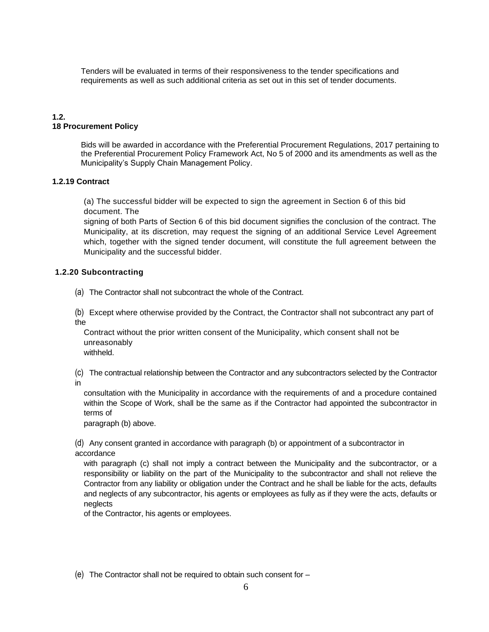Tenders will be evaluated in terms of their responsiveness to the tender specifications and requirements as well as such additional criteria as set out in this set of tender documents.

## **1.2. 18 Procurement Policy**

Bids will be awarded in accordance with the Preferential Procurement Regulations, 2017 pertaining to the Preferential Procurement Policy Framework Act, No 5 of 2000 and its amendments as well as the Municipality's Supply Chain Management Policy.

## **1.2.19 Contract**

(a) The successful bidder will be expected to sign the agreement in Section 6 of this bid document. The

signing of both Parts of Section 6 of this bid document signifies the conclusion of the contract. The Municipality, at its discretion, may request the signing of an additional Service Level Agreement which, together with the signed tender document, will constitute the full agreement between the Municipality and the successful bidder.

## **1.2.20 Subcontracting**

(a) The Contractor shall not subcontract the whole of the Contract.

(b) Except where otherwise provided by the Contract, the Contractor shall not subcontract any part of the

Contract without the prior written consent of the Municipality, which consent shall not be unreasonably

withheld.

(c) The contractual relationship between the Contractor and any subcontractors selected by the Contractor in

consultation with the Municipality in accordance with the requirements of and a procedure contained within the Scope of Work, shall be the same as if the Contractor had appointed the subcontractor in terms of

paragraph (b) above.

(d) Any consent granted in accordance with paragraph (b) or appointment of a subcontractor in accordance

with paragraph (c) shall not imply a contract between the Municipality and the subcontractor, or a responsibility or liability on the part of the Municipality to the subcontractor and shall not relieve the Contractor from any liability or obligation under the Contract and he shall be liable for the acts, defaults and neglects of any subcontractor, his agents or employees as fully as if they were the acts, defaults or neglects

of the Contractor, his agents or employees.

(e) The Contractor shall not be required to obtain such consent for –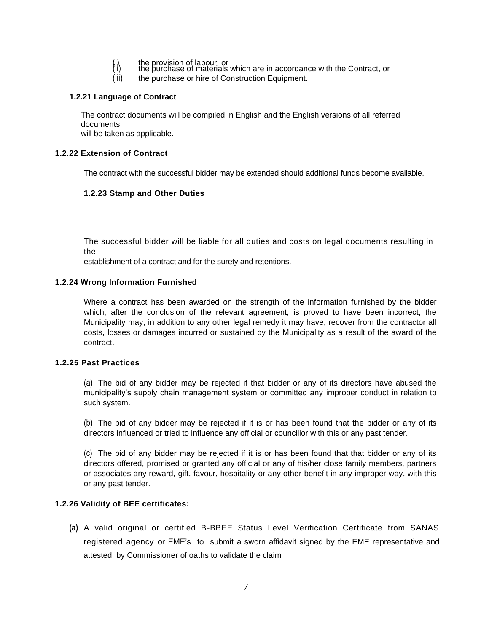- 
- (i) the provision of labour, or<br>(ii) the purchase of materials which are in accordance with the Contract, or
- (iii) the purchase or hire of Construction Equipment.

### **1.2.21 Language of Contract**

The contract documents will be compiled in English and the English versions of all referred documents

will be taken as applicable.

## **1.2.22 Extension of Contract**

The contract with the successful bidder may be extended should additional funds become available.

## **1.2.23 Stamp and Other Duties**

The successful bidder will be liable for all duties and costs on legal documents resulting in the

establishment of a contract and for the surety and retentions.

### **1.2.24 Wrong Information Furnished**

Where a contract has been awarded on the strength of the information furnished by the bidder which, after the conclusion of the relevant agreement, is proved to have been incorrect, the Municipality may, in addition to any other legal remedy it may have, recover from the contractor all costs, losses or damages incurred or sustained by the Municipality as a result of the award of the contract.

### **1.2.25 Past Practices**

(a) The bid of any bidder may be rejected if that bidder or any of its directors have abused the municipality's supply chain management system or committed any improper conduct in relation to such system.

(b) The bid of any bidder may be rejected if it is or has been found that the bidder or any of its directors influenced or tried to influence any official or councillor with this or any past tender.

(c) The bid of any bidder may be rejected if it is or has been found that that bidder or any of its directors offered, promised or granted any official or any of his/her close family members, partners or associates any reward, gift, favour, hospitality or any other benefit in any improper way, with this or any past tender.

### **1.2.26 Validity of BEE certificates:**

**(a)** A valid original or certified B-BBEE Status Level Verification Certificate from SANAS registered agency or EME's to submit a sworn affidavit signed by the EME representative and attested by Commissioner of oaths to validate the claim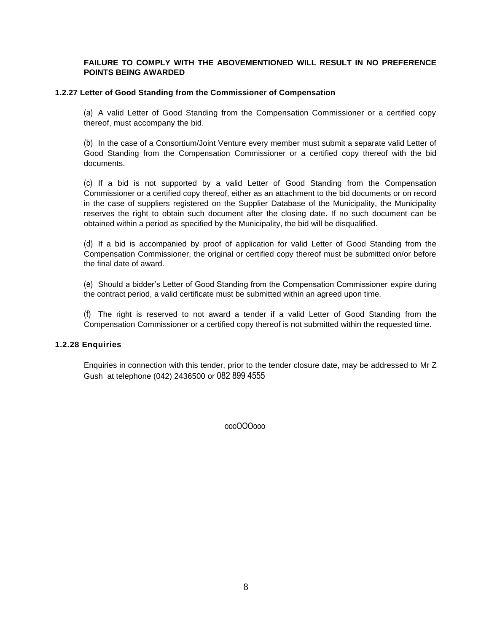## **FAILURE TO COMPLY WITH THE ABOVEMENTIONED WILL RESULT IN NO PREFERENCE POINTS BEING AWARDED**

### **1.2.27 Letter of Good Standing from the Commissioner of Compensation**

(a) A valid Letter of Good Standing from the Compensation Commissioner or a certified copy thereof, must accompany the bid.

(b) In the case of a Consortium/Joint Venture every member must submit a separate valid Letter of Good Standing from the Compensation Commissioner or a certified copy thereof with the bid documents.

(c) If a bid is not supported by a valid Letter of Good Standing from the Compensation Commissioner or a certified copy thereof, either as an attachment to the bid documents or on record in the case of suppliers registered on the Supplier Database of the Municipality, the Municipality reserves the right to obtain such document after the closing date. If no such document can be obtained within a period as specified by the Municipality, the bid will be disqualified.

(d) If a bid is accompanied by proof of application for valid Letter of Good Standing from the Compensation Commissioner, the original or certified copy thereof must be submitted on/or before the final date of award.

(e) Should a bidder's Letter of Good Standing from the Compensation Commissioner expire during the contract period, a valid certificate must be submitted within an agreed upon time.

(f) The right is reserved to not award a tender if a valid Letter of Good Standing from the Compensation Commissioner or a certified copy thereof is not submitted within the requested time.

## **1.2.28 Enquiries**

Enquiries in connection with this tender, prior to the tender closure date, may be addressed to Mr Z Gush at telephone (042) 2436500 or 082 899 4555

oooOOOooo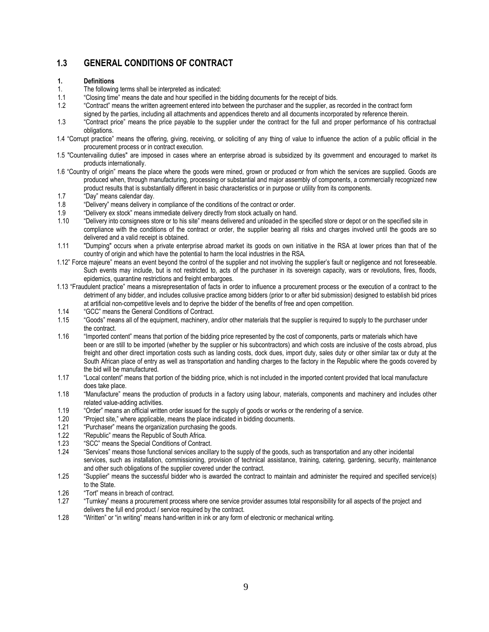# **1.3 GENERAL CONDITIONS OF CONTRACT**

### **1. Definitions**

- 1. The following terms shall be interpreted as indicated:
- 1.1 "Closing time" means the date and hour specified in the bidding documents for the receipt of bids.<br>1.2 "Contract" means the written agreement entered into between the purchaser and the supplier, as r
- 1.2 "Contract" means the written agreement entered into between the purchaser and the supplier, as recorded in the contract form signed by the parties, including all attachments and appendices thereto and all documents incorporated by reference therein.
- 1.3 "Contract price" means the price payable to the supplier under the contract for the full and proper performance of his contractual obligations.
- 1.4 "Corrupt practice" means the offering, giving, receiving, or soliciting of any thing of value to influence the action of a public official in the procurement process or in contract execution.
- 1.5 "Countervailing duties" are imposed in cases where an enterprise abroad is subsidized by its government and encouraged to market its products internationally.
- 1.6 "Country of origin" means the place where the goods were mined, grown or produced or from which the services are supplied. Goods are produced when, through manufacturing, processing or substantial and major assembly of components, a commercially recognized new product results that is substantially different in basic characteristics or in purpose or utility from its components.
- 1.7 "Day" means calendar day.
- 1.8 "Delivery" means delivery in compliance of the conditions of the contract or order.
- 1.9 "Delivery ex stock" means immediate delivery directly from stock actually on hand.
- 1.10 "Delivery into consignees store or to his site" means delivered and unloaded in the specified store or depot or on the specified site in compliance with the conditions of the contract or order, the supplier bearing all risks and charges involved until the goods are so delivered and a valid receipt is obtained.
- 1.11 "Dumping" occurs when a private enterprise abroad market its goods on own initiative in the RSA at lower prices than that of the country of origin and which have the potential to harm the local industries in the RSA.
- 1.12" Force majeure" means an event beyond the control of the supplier and not involving the supplier's fault or negligence and not foreseeable. Such events may include, but is not restricted to, acts of the purchaser in its sovereign capacity, wars or revolutions, fires, floods, epidemics, quarantine restrictions and freight embargoes.
- 1.13 "Fraudulent practice" means a misrepresentation of facts in order to influence a procurement process or the execution of a contract to the detriment of any bidder, and includes collusive practice among bidders (prior to or after bid submission) designed to establish bid prices at artificial non-competitive levels and to deprive the bidder of the benefits of free and open competition.
- 1.14 "GCC" means the General Conditions of Contract.
- 1.15 "Goods" means all of the equipment, machinery, and/or other materials that the supplier is required to supply to the purchaser under the contract.
- 1.16 "Imported content" means that portion of the bidding price represented by the cost of components, parts or materials which have been or are still to be imported (whether by the supplier or his subcontractors) and which costs are inclusive of the costs abroad, plus freight and other direct importation costs such as landing costs, dock dues, import duty, sales duty or other similar tax or duty at the South African place of entry as well as transportation and handling charges to the factory in the Republic where the goods covered by the bid will be manufactured.
- 1.17 "Local content" means that portion of the bidding price, which is not included in the imported content provided that local manufacture does take place.
- 1.18 "Manufacture" means the production of products in a factory using labour, materials, components and machinery and includes other related value-adding activities.
- 1.19 "Order" means an official written order issued for the supply of goods or works or the rendering of a service.
- 1.20 "Project site," where applicable, means the place indicated in bidding documents.
- 1.21 "Purchaser" means the organization purchasing the goods.
- 1.22 "Republic" means the Republic of South Africa.<br>1.23 "SCC" means the Special Conditions of Contrac
- 1.23 "SCC" means the Special Conditions of Contract.<br>1.24 "Services" means those functional services ancilla
- "Services" means those functional services ancillary to the supply of the goods, such as transportation and any other incidental services, such as installation, commissioning, provision of technical assistance, training, catering, gardening, security, maintenance and other such obligations of the supplier covered under the contract.
- 1.25 "Supplier" means the successful bidder who is awarded the contract to maintain and administer the required and specified service(s) to the State.
- 1.26 "Tort" means in breach of contract.
- 1.27 "Turnkey" means a procurement process where one service provider assumes total responsibility for all aspects of the project and delivers the full end product / service required by the contract.
- 1.28 "Written" or "in writing" means hand-written in ink or any form of electronic or mechanical writing.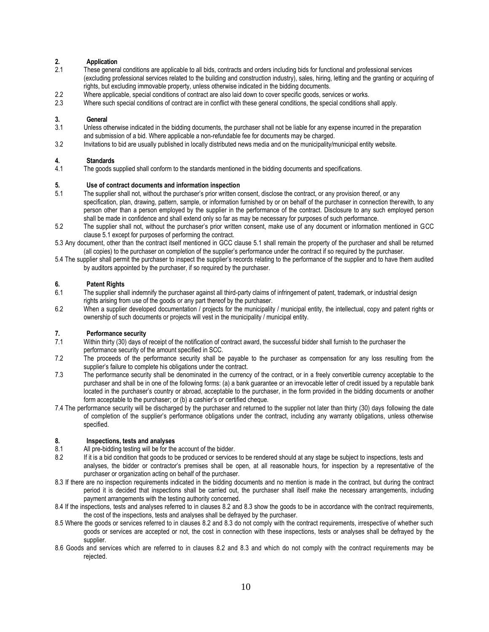# **2. Application**

- These general conditions are applicable to all bids, contracts and orders including bids for functional and professional services (excluding professional services related to the building and construction industry), sales, hiring, letting and the granting or acquiring of rights, but excluding immovable property, unless otherwise indicated in the bidding documents.
- 2.2 Where applicable, special conditions of contract are also laid down to cover specific goods, services or works.
- 2.3 Where such special conditions of contract are in conflict with these general conditions, the special conditions shall apply.

# **3. General**

- Unless otherwise indicated in the bidding documents, the purchaser shall not be liable for any expense incurred in the preparation and submission of a bid. Where applicable a non-refundable fee for documents may be charged.
- 3.2 Invitations to bid are usually published in locally distributed news media and on the municipality/municipal entity website.

### **4. Standards**

4.1 The goods supplied shall conform to the standards mentioned in the bidding documents and specifications.

#### **5. Use of contract documents and information inspection**

- 5.1 The supplier shall not, without the purchaser's prior written consent, disclose the contract, or any provision thereof, or any specification, plan, drawing, pattern, sample, or information furnished by or on behalf of the purchaser in connection therewith, to any person other than a person employed by the supplier in the performance of the contract. Disclosure to any such employed person shall be made in confidence and shall extend only so far as may be necessary for purposes of such performance.
- 5.2 The supplier shall not, without the purchaser's prior written consent, make use of any document or information mentioned in GCC clause 5.1 except for purposes of performing the contract.
- 5.3 Any document, other than the contract itself mentioned in GCC clause 5.1 shall remain the property of the purchaser and shall be returned (all copies) to the purchaser on completion of the supplier's performance under the contract if so required by the purchaser.
- 5.4 The supplier shall permit the purchaser to inspect the supplier's records relating to the performance of the supplier and to have them audited by auditors appointed by the purchaser, if so required by the purchaser.

#### **6. Patent Rights**

- 6.1 The supplier shall indemnify the purchaser against all third-party claims of infringement of patent, trademark, or industrial design rights arising from use of the goods or any part thereof by the purchaser.
- 6.2 When a supplier developed documentation / projects for the municipality / municipal entity, the intellectual, copy and patent rights or ownership of such documents or projects will vest in the municipality / municipal entity.

# **7. Performance security**<br>**7.1** Within thirty (30) days of

- Within thirty (30) days of receipt of the notification of contract award, the successful bidder shall furnish to the purchaser the performance security of the amount specified in SCC.
- 7.2 The proceeds of the performance security shall be payable to the purchaser as compensation for any loss resulting from the supplier's failure to complete his obligations under the contract.
- 7.3 The performance security shall be denominated in the currency of the contract, or in a freely convertible currency acceptable to the purchaser and shall be in one of the following forms: (a) a bank guarantee or an irrevocable letter of credit issued by a reputable bank located in the purchaser's country or abroad, acceptable to the purchaser, in the form provided in the bidding documents or another form acceptable to the purchaser; or (b) a cashier's or certified cheque.
- 7.4 The performance security will be discharged by the purchaser and returned to the supplier not later than thirty (30) days following the date of completion of the supplier's performance obligations under the contract, including any warranty obligations, unless otherwise specified.

#### **8. Inspections, tests and analyses**

- 8.1 All pre-bidding testing will be for the account of the bidder.
- 8.2 If it is a bid condition that goods to be produced or services to be rendered should at any stage be subject to inspections, tests and analyses, the bidder or contractor's premises shall be open, at all reasonable hours, for inspection by a representative of the purchaser or organization acting on behalf of the purchaser.
- 8.3 If there are no inspection requirements indicated in the bidding documents and no mention is made in the contract, but during the contract period it is decided that inspections shall be carried out, the purchaser shall itself make the necessary arrangements, including payment arrangements with the testing authority concerned.
- 8.4 If the inspections, tests and analyses referred to in clauses 8.2 and 8.3 show the goods to be in accordance with the contract requirements, the cost of the inspections, tests and analyses shall be defrayed by the purchaser.
- 8.5 Where the goods or services referred to in clauses 8.2 and 8.3 do not comply with the contract requirements, irrespective of whether such goods or services are accepted or not, the cost in connection with these inspections, tests or analyses shall be defrayed by the supplier.
- 8.6 Goods and services which are referred to in clauses 8.2 and 8.3 and which do not comply with the contract requirements may be rejected.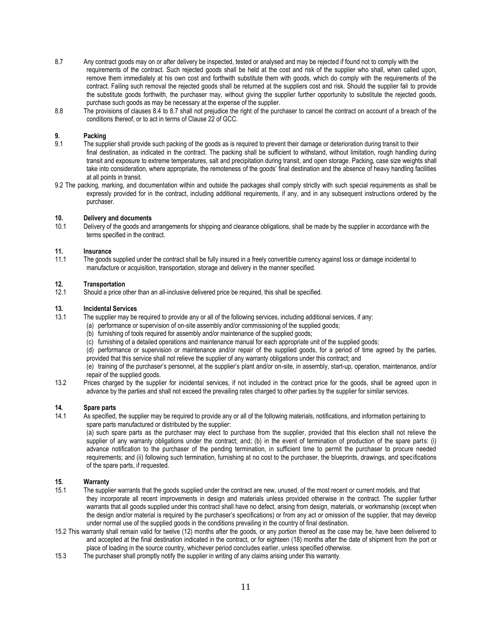- 8.7 Any contract goods may on or after delivery be inspected, tested or analysed and may be rejected if found not to comply with the requirements of the contract. Such rejected goods shall be held at the cost and risk of the supplier who shall, when called upon, remove them immediately at his own cost and forthwith substitute them with goods, which do comply with the requirements of the contract. Failing such removal the rejected goods shall be returned at the suppliers cost and risk. Should the supplier fail to provide the substitute goods forthwith, the purchaser may, without giving the supplier further opportunity to substitute the rejected goods, purchase such goods as may be necessary at the expense of the supplier.
- 8.8 The provisions of clauses 8.4 to 8.7 shall not prejudice the right of the purchaser to cancel the contract on account of a breach of the conditions thereof, or to act in terms of Clause 22 of GCC.

# **9. Packing**

- The supplier shall provide such packing of the goods as is required to prevent their damage or deterioration during transit to their final destination, as indicated in the contract. The packing shall be sufficient to withstand, without limitation, rough handling during transit and exposure to extreme temperatures, salt and precipitation during transit, and open storage. Packing, case size weights shall take into consideration, where appropriate, the remoteness of the goods' final destination and the absence of heavy handling facilities at all points in transit.
- 9.2 The packing, marking, and documentation within and outside the packages shall comply strictly with such special requirements as shall be expressly provided for in the contract, including additional requirements, if any, and in any subsequent instructions ordered by the purchaser.

#### **10. Delivery and documents**

10.1 Delivery of the goods and arrangements for shipping and clearance obligations, shall be made by the supplier in accordance with the terms specified in the contract.

#### **11. Insurance**

11.1 The goods supplied under the contract shall be fully insured in a freely convertible currency against loss or damage incidental to manufacture or acquisition, transportation, storage and delivery in the manner specified.

#### **12. Transportation**

12.1 Should a price other than an all-inclusive delivered price be required, this shall be specified.

# **13. Incidental Services**

- The supplier may be required to provide any or all of the following services, including additional services, if any:
	- (a) performance or supervision of on-site assembly and/or commissioning of the supplied goods;
		- (b) furnishing of tools required for assembly and/or maintenance of the supplied goods;
		- (c) furnishing of a detailed operations and maintenance manual for each appropriate unit of the supplied goods;
		- (d) performance or supervision or maintenance and/or repair of the supplied goods, for a period of time agreed by the parties, provided that this service shall not relieve the supplier of any warranty obligations under this contract; and

(e) training of the purchaser's personnel, at the supplier's plant and/or on-site, in assembly, start-up, operation, maintenance, and/or repair of the supplied goods.

13.2 Prices charged by the supplier for incidental services, if not included in the contract price for the goods, shall be agreed upon in advance by the parties and shall not exceed the prevailing rates charged to other parties by the supplier for similar services.

# **14. Spare parts**

As specified, the supplier may be required to provide any or all of the following materials, notifications, and information pertaining to spare parts manufactured or distributed by the supplier:

(a) such spare parts as the purchaser may elect to purchase from the supplier, provided that this election shall not relieve the supplier of any warranty obligations under the contract; and; (b) in the event of termination of production of the spare parts: (i) advance notification to the purchaser of the pending termination, in sufficient time to permit the purchaser to procure needed requirements; and (ii) following such termination, furnishing at no cost to the purchaser, the blueprints, drawings, and specifications of the spare parts, if requested.

### **15. Warranty**

- 15.1 The supplier warrants that the goods supplied under the contract are new, unused, of the most recent or current models, and that they incorporate all recent improvements in design and materials unless provided otherwise in the contract. The supplier further warrants that all goods supplied under this contract shall have no defect, arising from design, materials, or workmanship (except when the design and/or material is required by the purchaser's specifications) or from any act or omission of the supplier, that may develop under normal use of the supplied goods in the conditions prevailing in the country of final destination.
- 15.2 This warranty shall remain valid for twelve (12) months after the goods, or any portion thereof as the case may be, have been delivered to and accepted at the final destination indicated in the contract, or for eighteen (18) months after the date of shipment from the port or place of loading in the source country, whichever period concludes earlier, unless specified otherwise.
- 15.3 The purchaser shall promptly notify the supplier in writing of any claims arising under this warranty.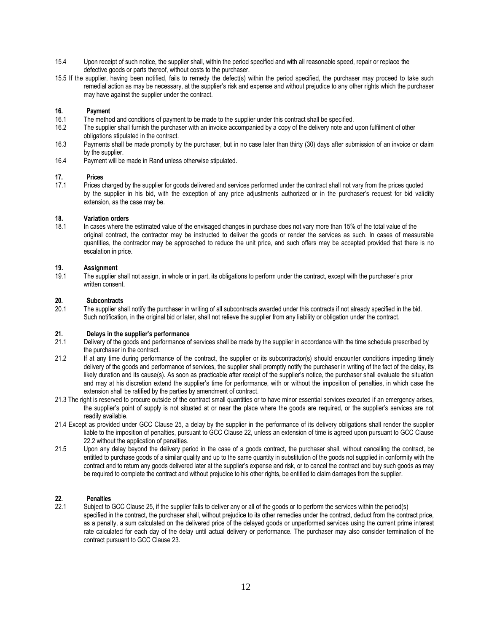- 15.4 Upon receipt of such notice, the supplier shall, within the period specified and with all reasonable speed, repair or replace the defective goods or parts thereof, without costs to the purchaser.
- 15.5 If the supplier, having been notified, fails to remedy the defect(s) within the period specified, the purchaser may proceed to take such remedial action as may be necessary, at the supplier's risk and expense and without prejudice to any other rights which the purchaser may have against the supplier under the contract.

### **16. Payment**

- 16.1 The method and conditions of payment to be made to the supplier under this contract shall be specified.<br>16.2 The supplier shall furnish the purchaser with an invoice accompanied by a copy of the delivery note and
- The supplier shall furnish the purchaser with an invoice accompanied by a copy of the delivery note and upon fulfilment of other obligations stipulated in the contract.
- 16.3 Payments shall be made promptly by the purchaser, but in no case later than thirty (30) days after submission of an invoice or claim by the supplier.
- 16.4 Payment will be made in Rand unless otherwise stipulated.

#### **17. Prices**

17.1 Prices charged by the supplier for goods delivered and services performed under the contract shall not vary from the prices quoted by the supplier in his bid, with the exception of any price adjustments authorized or in the purchaser's request for bid validity extension, as the case may be.

#### **18. Variation orders**

18.1 In cases where the estimated value of the envisaged changes in purchase does not vary more than 15% of the total value of the original contract, the contractor may be instructed to deliver the goods or render the services as such. In cases of measurable quantities, the contractor may be approached to reduce the unit price, and such offers may be accepted provided that there is no escalation in price.

#### **19. Assignment**

19.1 The supplier shall not assign, in whole or in part, its obligations to perform under the contract, except with the purchaser's prior written consent.

# **20. Subcontracts**

The supplier shall notify the purchaser in writing of all subcontracts awarded under this contracts if not already specified in the bid. Such notification, in the original bid or later, shall not relieve the supplier from any liability or obligation under the contract.

# **21. Delays in the supplier's performance**

- 21.1 Delivery of the goods and performance of services shall be made by the supplier in accordance with the time schedule prescribed by the purchaser in the contract.
- 21.2 If at any time during performance of the contract, the supplier or its subcontractor(s) should encounter conditions impeding timely delivery of the goods and performance of services, the supplier shall promptly notify the purchaser in writing of the fact of the delay, its likely duration and its cause(s). As soon as practicable after receipt of the supplier's notice, the purchaser shall evaluate the situation and may at his discretion extend the supplier's time for performance, with or without the imposition of penalties, in which case the extension shall be ratified by the parties by amendment of contract.
- 21.3 The right is reserved to procure outside of the contract small quantities or to have minor essential services executed if an emergency arises, the supplier's point of supply is not situated at or near the place where the goods are required, or the supplier's services are not readily available.
- 21.4 Except as provided under GCC Clause 25, a delay by the supplier in the performance of its delivery obligations shall render the supplier liable to the imposition of penalties, pursuant to GCC Clause 22, unless an extension of time is agreed upon pursuant to GCC Clause 22.2 without the application of penalties.
- 21.5 Upon any delay beyond the delivery period in the case of a goods contract, the purchaser shall, without cancelling the contract, be entitled to purchase goods of a similar quality and up to the same quantity in substitution of the goods not supplied in conformity with the contract and to return any goods delivered later at the supplier's expense and risk, or to cancel the contract and buy such goods as may be required to complete the contract and without prejudice to his other rights, be entitled to claim damages from the supplier.

# **22. Penalties**

Subject to GCC Clause 25, if the supplier fails to deliver any or all of the goods or to perform the services within the period(s) specified in the contract, the purchaser shall, without prejudice to its other remedies under the contract, deduct from the contract price, as a penalty, a sum calculated on the delivered price of the delayed goods or unperformed services using the current prime interest rate calculated for each day of the delay until actual delivery or performance. The purchaser may also consider termination of the contract pursuant to GCC Clause 23.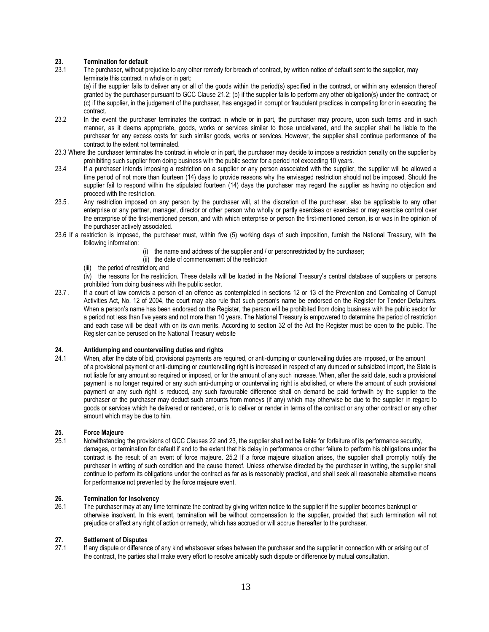# **23. Termination for default**<br>**23.1** The purchaser, without pro

The purchaser, without prejudice to any other remedy for breach of contract, by written notice of default sent to the supplier, may terminate this contract in whole or in part:

(a) if the supplier fails to deliver any or all of the goods within the period(s) specified in the contract, or within any extension thereof granted by the purchaser pursuant to GCC Clause 21.2; (b) if the supplier fails to perform any other obligation(s) under the contract; or (c) if the supplier, in the judgement of the purchaser, has engaged in corrupt or fraudulent practices in competing for or in executing the contract.

- 23.2 In the event the purchaser terminates the contract in whole or in part, the purchaser may procure, upon such terms and in such manner, as it deems appropriate, goods, works or services similar to those undelivered, and the supplier shall be liable to the purchaser for any excess costs for such similar goods, works or services. However, the supplier shall continue performance of the contract to the extent not terminated.
- 23.3 Where the purchaser terminates the contract in whole or in part, the purchaser may decide to impose a restriction penalty on the supplier by prohibiting such supplier from doing business with the public sector for a period not exceeding 10 years.
- 23.4 If a purchaser intends imposing a restriction on a supplier or any person associated with the supplier, the supplier will be allowed a time period of not more than fourteen (14) days to provide reasons why the envisaged restriction should not be imposed. Should the supplier fail to respond within the stipulated fourteen (14) days the purchaser may regard the supplier as having no objection and proceed with the restriction.
- 23.5 . Any restriction imposed on any person by the purchaser will, at the discretion of the purchaser, also be applicable to any other enterprise or any partner, manager, director or other person who wholly or partly exercises or exercised or may exercise control over the enterprise of the first-mentioned person, and with which enterprise or person the first-mentioned person, is or was in the opinion of the purchaser actively associated.
- 23.6 If a restriction is imposed, the purchaser must, within five (5) working days of such imposition, furnish the National Treasury, with the following information:
	- (i) the name and address of the supplier and / or personrestricted by the purchaser;
	- (ii) the date of commencement of the restriction
	- (iii) the period of restriction; and

(iv) the reasons for the restriction. These details will be loaded in the National Treasury's central database of suppliers or persons prohibited from doing business with the public sector.

23.7 . If a court of law convicts a person of an offence as contemplated in sections 12 or 13 of the Prevention and Combating of Corrupt Activities Act, No. 12 of 2004, the court may also rule that such person's name be endorsed on the Register for Tender Defaulters. When a person's name has been endorsed on the Register, the person will be prohibited from doing business with the public sector for a period not less than five years and not more than 10 years. The National Treasury is empowered to determine the period of restriction and each case will be dealt with on its own merits. According to section 32 of the Act the Register must be open to the public. The Register can be perused on the National Treasury website

### **24. Antidumping and countervailing duties and rights**

24.1 When, after the date of bid, provisional payments are required, or anti-dumping or countervailing duties are imposed, or the amount of a provisional payment or anti-dumping or countervailing right is increased in respect of any dumped or subsidized import, the State is not liable for any amount so required or imposed, or for the amount of any such increase. When, after the said date, such a provisional payment is no longer required or any such anti-dumping or countervailing right is abolished, or where the amount of such provisional payment or any such right is reduced, any such favourable difference shall on demand be paid forthwith by the supplier to the purchaser or the purchaser may deduct such amounts from moneys (if any) which may otherwise be due to the supplier in regard to goods or services which he delivered or rendered, or is to deliver or render in terms of the contract or any other contract or any other amount which may be due to him.

### **25. Force Majeure**

25.1 Notwithstanding the provisions of GCC Clauses 22 and 23, the supplier shall not be liable for forfeiture of its performance security, damages, or termination for default if and to the extent that his delay in performance or other failure to perform his obligations under the contract is the result of an event of force majeure. 25.2 If a force majeure situation arises, the supplier shall promptly notify the purchaser in writing of such condition and the cause thereof. Unless otherwise directed by the purchaser in writing, the supplier shall continue to perform its obligations under the contract as far as is reasonably practical, and shall seek all reasonable alternative means for performance not prevented by the force majeure event.

# **26. Termination for insolvency**<br>26.1 The purchaser may at any tin

The purchaser may at any time terminate the contract by giving written notice to the supplier if the supplier becomes bankrupt or otherwise insolvent. In this event, termination will be without compensation to the supplier, provided that such termination will not prejudice or affect any right of action or remedy, which has accrued or will accrue thereafter to the purchaser.

# **27. Settlement of Disputes**

If any dispute or difference of any kind whatsoever arises between the purchaser and the supplier in connection with or arising out of the contract, the parties shall make every effort to resolve amicably such dispute or difference by mutual consultation.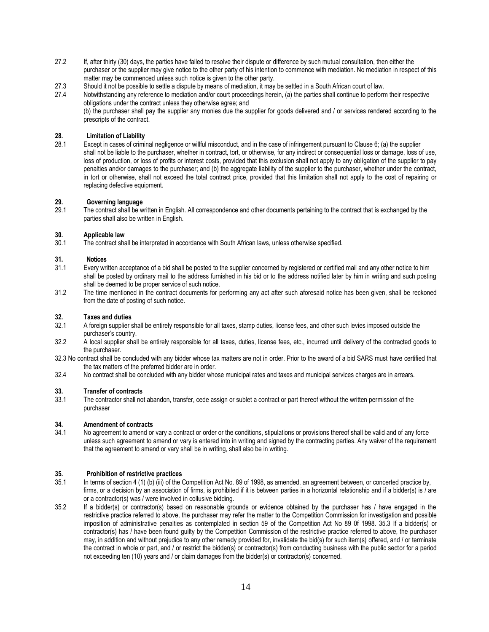- 27.2 If, after thirty (30) days, the parties have failed to resolve their dispute or difference by such mutual consultation, then either the purchaser or the supplier may give notice to the other party of his intention to commence with mediation. No mediation in respect of this matter may be commenced unless such notice is given to the other party.
- 27.3 Should it not be possible to settle a dispute by means of mediation, it may be settled in a South African court of law.
- 27.4 Notwithstanding any reference to mediation and/or court proceedings herein, (a) the parties shall continue to perform their respective obligations under the contract unless they otherwise agree; and

(b) the purchaser shall pay the supplier any monies due the supplier for goods delivered and / or services rendered according to the prescripts of the contract.

# **28. Limitation of Liability**

Except in cases of criminal negligence or willful misconduct, and in the case of infringement pursuant to Clause 6; (a) the supplier shall not be liable to the purchaser, whether in contract, tort, or otherwise, for any indirect or consequential loss or damage, loss of use, loss of production, or loss of profits or interest costs, provided that this exclusion shall not apply to any obligation of the supplier to pay penalties and/or damages to the purchaser; and (b) the aggregate liability of the supplier to the purchaser, whether under the contract, in tort or otherwise, shall not exceed the total contract price, provided that this limitation shall not apply to the cost of repairing or replacing defective equipment.

# **29. Governing language**

The contract shall be written in English. All correspondence and other documents pertaining to the contract that is exchanged by the parties shall also be written in English.

#### **30. Applicable law**

30.1 The contract shall be interpreted in accordance with South African laws, unless otherwise specified.

#### **31. Notices**

- 31.1 Every written acceptance of a bid shall be posted to the supplier concerned by registered or certified mail and any other notice to him shall be posted by ordinary mail to the address furnished in his bid or to the address notified later by him in writing and such posting shall be deemed to be proper service of such notice.
- 31.2 The time mentioned in the contract documents for performing any act after such aforesaid notice has been given, shall be reckoned from the date of posting of such notice.

# **32. Taxes and duties**

- A foreign supplier shall be entirely responsible for all taxes, stamp duties, license fees, and other such levies imposed outside the purchaser's country.
- 32.2 A local supplier shall be entirely responsible for all taxes, duties, license fees, etc., incurred until delivery of the contracted goods to the purchaser.
- 32.3 No contract shall be concluded with any bidder whose tax matters are not in order. Prior to the award of a bid SARS must have certified that the tax matters of the preferred bidder are in order.
- 32.4 No contract shall be concluded with any bidder whose municipal rates and taxes and municipal services charges are in arrears.

# **33. Transfer of contracts**

The contractor shall not abandon, transfer, cede assign or sublet a contract or part thereof without the written permission of the purchaser

### **34. Amendment of contracts**

34.1 No agreement to amend or vary a contract or order or the conditions, stipulations or provisions thereof shall be valid and of any force unless such agreement to amend or vary is entered into in writing and signed by the contracting parties. Any waiver of the requirement that the agreement to amend or vary shall be in writing, shall also be in writing.

### **35. Prohibition of restrictive practices**

- 35.1 In terms of section 4 (1) (b) (iii) of the Competition Act No. 89 of 1998, as amended, an agreement between, or concerted practice by, firms, or a decision by an association of firms, is prohibited if it is between parties in a horizontal relationship and if a bidder(s) is / are or a contractor(s) was / were involved in collusive bidding.
- 35.2 If a bidder(s) or contractor(s) based on reasonable grounds or evidence obtained by the purchaser has / have engaged in the restrictive practice referred to above, the purchaser may refer the matter to the Competition Commission for investigation and possible imposition of administrative penalties as contemplated in section 59 of the Competition Act No 89 0f 1998. 35.3 If a bidder(s) or contractor(s) has / have been found guilty by the Competition Commission of the restrictive practice referred to above, the purchaser may, in addition and without prejudice to any other remedy provided for, invalidate the bid(s) for such item(s) offered, and / or terminate the contract in whole or part, and / or restrict the bidder(s) or contractor(s) from conducting business with the public sector for a period not exceeding ten (10) years and / or claim damages from the bidder(s) or contractor(s) concerned.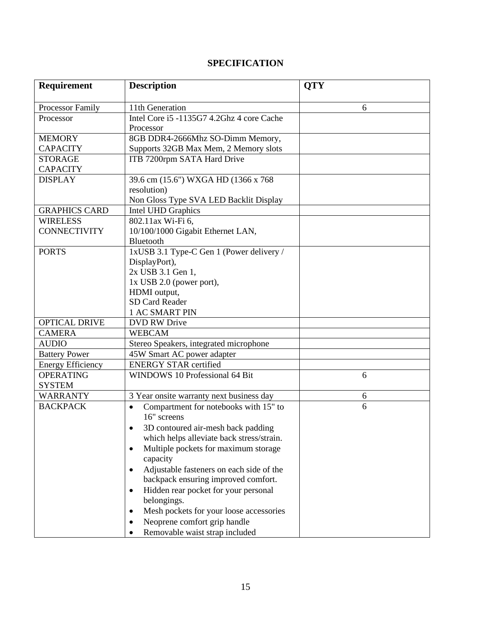# **SPECIFICATION**

| <b>Requirement</b>       | <b>Description</b>                                                | <b>QTY</b> |
|--------------------------|-------------------------------------------------------------------|------------|
| Processor Family         | 11th Generation                                                   | 6          |
| Processor                | Intel Core i5 -1135G7 4.2Ghz 4 core Cache                         |            |
|                          | Processor                                                         |            |
| <b>MEMORY</b>            | 8GB DDR4-2666Mhz SO-Dimm Memory,                                  |            |
| <b>CAPACITY</b>          | Supports 32GB Max Mem, 2 Memory slots                             |            |
| <b>STORAGE</b>           | ITB 7200rpm SATA Hard Drive                                       |            |
| <b>CAPACITY</b>          |                                                                   |            |
| <b>DISPLAY</b>           | 39.6 cm (15.6") WXGA HD (1366 x 768                               |            |
|                          | resolution)                                                       |            |
|                          | Non Gloss Type SVA LED Backlit Display                            |            |
| <b>GRAPHICS CARD</b>     | Intel UHD Graphics                                                |            |
| <b>WIRELESS</b>          | 802.11ax Wi-Fi 6,                                                 |            |
| <b>CONNECTIVITY</b>      | 10/100/1000 Gigabit Ethernet LAN,                                 |            |
|                          | Bluetooth                                                         |            |
| <b>PORTS</b>             | 1xUSB 3.1 Type-C Gen 1 (Power delivery /                          |            |
|                          | DisplayPort),                                                     |            |
|                          | 2x USB 3.1 Gen 1,                                                 |            |
|                          | $1x$ USB 2.0 (power port),                                        |            |
|                          | HDMI output,                                                      |            |
|                          | SD Card Reader                                                    |            |
|                          | 1 AC SMART PIN                                                    |            |
| <b>OPTICAL DRIVE</b>     | <b>DVD RW Drive</b>                                               |            |
| <b>CAMERA</b>            | <b>WEBCAM</b>                                                     |            |
| <b>AUDIO</b>             | Stereo Speakers, integrated microphone                            |            |
| <b>Battery Power</b>     | 45W Smart AC power adapter                                        |            |
| <b>Energy Efficiency</b> | <b>ENERGY STAR certified</b>                                      |            |
| <b>OPERATING</b>         | WINDOWS 10 Professional 64 Bit                                    | 6          |
| <b>SYSTEM</b>            |                                                                   |            |
| <b>WARRANTY</b>          | 3 Year onsite warranty next business day                          | 6          |
| <b>BACKPACK</b>          | Compartment for notebooks with 15" to<br>$\bullet$<br>16" screens | 6          |
|                          | 3D contoured air-mesh back padding                                |            |
|                          | which helps alleviate back stress/strain.                         |            |
|                          | Multiple pockets for maximum storage<br>$\bullet$                 |            |
|                          | capacity                                                          |            |
|                          | Adjustable fasteners on each side of the<br>$\bullet$             |            |
|                          | backpack ensuring improved comfort.                               |            |
|                          | Hidden rear pocket for your personal<br>$\bullet$                 |            |
|                          | belongings.                                                       |            |
|                          | Mesh pockets for your loose accessories<br>$\bullet$              |            |
|                          | Neoprene comfort grip handle                                      |            |
|                          | Removable waist strap included                                    |            |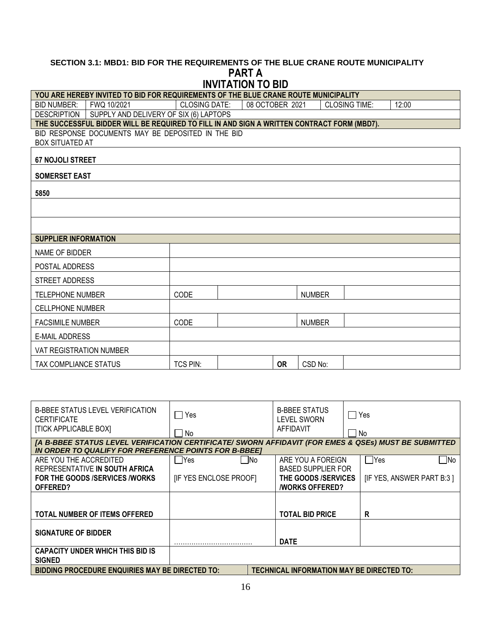## **SECTION 3.1: MBD1: BID FOR THE REQUIREMENTS OF THE BLUE CRANE ROUTE MUNICIPALITY PART A INVITATION TO BID**

|                                | YOU ARE HEREBY INVITED TO BID FOR REQUIREMENTS OF THE BLUE CRANE ROUTE MUNICIPALITY |  |                      |  |                 |           |               |                                                                                            |       |
|--------------------------------|-------------------------------------------------------------------------------------|--|----------------------|--|-----------------|-----------|---------------|--------------------------------------------------------------------------------------------|-------|
| <b>BID NUMBER:</b>             | FWQ 10/2021                                                                         |  | <b>CLOSING DATE:</b> |  | 08 OCTOBER 2021 |           |               | <b>CLOSING TIME:</b>                                                                       | 12:00 |
| <b>DESCRIPTION</b>             | SUPPLY AND DELIVERY OF SIX (6) LAPTOPS                                              |  |                      |  |                 |           |               |                                                                                            |       |
|                                |                                                                                     |  |                      |  |                 |           |               | THE SUCCESSFUL BIDDER WILL BE REQUIRED TO FILL IN AND SIGN A WRITTEN CONTRACT FORM (MBD7). |       |
|                                | BID RESPONSE DOCUMENTS MAY BE DEPOSITED IN THE BID                                  |  |                      |  |                 |           |               |                                                                                            |       |
|                                | <b>BOX SITUATED AT</b>                                                              |  |                      |  |                 |           |               |                                                                                            |       |
| <b>67 NOJOLI STREET</b>        |                                                                                     |  |                      |  |                 |           |               |                                                                                            |       |
| <b>SOMERSET EAST</b>           |                                                                                     |  |                      |  |                 |           |               |                                                                                            |       |
| 5850                           |                                                                                     |  |                      |  |                 |           |               |                                                                                            |       |
|                                |                                                                                     |  |                      |  |                 |           |               |                                                                                            |       |
|                                |                                                                                     |  |                      |  |                 |           |               |                                                                                            |       |
| <b>SUPPLIER INFORMATION</b>    |                                                                                     |  |                      |  |                 |           |               |                                                                                            |       |
| NAME OF BIDDER                 |                                                                                     |  |                      |  |                 |           |               |                                                                                            |       |
| POSTAL ADDRESS                 |                                                                                     |  |                      |  |                 |           |               |                                                                                            |       |
| <b>STREET ADDRESS</b>          |                                                                                     |  |                      |  |                 |           |               |                                                                                            |       |
| <b>TELEPHONE NUMBER</b>        |                                                                                     |  | CODE                 |  |                 |           | <b>NUMBER</b> |                                                                                            |       |
| <b>CELLPHONE NUMBER</b>        |                                                                                     |  |                      |  |                 |           |               |                                                                                            |       |
| <b>FACSIMILE NUMBER</b>        |                                                                                     |  | CODE                 |  |                 |           | <b>NUMBER</b> |                                                                                            |       |
| <b>E-MAIL ADDRESS</b>          |                                                                                     |  |                      |  |                 |           |               |                                                                                            |       |
| <b>VAT REGISTRATION NUMBER</b> |                                                                                     |  |                      |  |                 |           |               |                                                                                            |       |
| TAX COMPLIANCE STATUS          |                                                                                     |  | <b>TCS PIN:</b>      |  |                 | <b>OR</b> | CSD No:       |                                                                                            |       |

| <b>B-BBEE STATUS LEVEL VERIFICATION</b><br><b>CERTIFICATE</b><br><b>[TICK APPLICABLE BOX]</b>                                                                 | <b>Yes</b><br>No       | <b>B-BBEE STATUS</b><br>$\mathcal{L}$<br><b>LEVEL SWORN</b><br>AFFIDAVIT | Yes<br>No                 |
|---------------------------------------------------------------------------------------------------------------------------------------------------------------|------------------------|--------------------------------------------------------------------------|---------------------------|
| [A B-BBEE STATUS LEVEL VERIFICATION CERTIFICATE/ SWORN AFFIDAVIT (FOR EMES & QSEs) MUST BE SUBMITTED<br>IN ORDER TO QUALIFY FOR PREFERENCE POINTS FOR B-BBEET |                        |                                                                          |                           |
| ARE YOU THE ACCREDITED                                                                                                                                        | $\neg$ Yes<br>- INo    | ARE YOU A FOREIGN                                                        | ∣ No<br>l lYes            |
| REPRESENTATIVE IN SOUTH AFRICA                                                                                                                                |                        | <b>BASED SUPPLIER FOR</b>                                                |                           |
| FOR THE GOODS /SERVICES /WORKS                                                                                                                                | [IF YES ENCLOSE PROOF] | THE GOODS /SERVICES                                                      | [IF YES, ANSWER PART B:3] |
| OFFERED?                                                                                                                                                      |                        | <b><i>NORKS OFFERED?</i></b>                                             |                           |
|                                                                                                                                                               |                        |                                                                          |                           |
| TOTAL NUMBER OF ITEMS OFFERED                                                                                                                                 |                        | <b>TOTAL BID PRICE</b>                                                   | R                         |
| <b>SIGNATURE OF BIDDER</b>                                                                                                                                    |                        | <b>DATE</b>                                                              |                           |
| <b>CAPACITY UNDER WHICH THIS BID IS</b><br><b>SIGNED</b>                                                                                                      |                        |                                                                          |                           |
| <b>BIDDING PROCEDURE ENQUIRIES MAY BE DIRECTED TO:</b><br>TECHNICAL INFORMATION MAY BE DIRECTED TO:                                                           |                        |                                                                          |                           |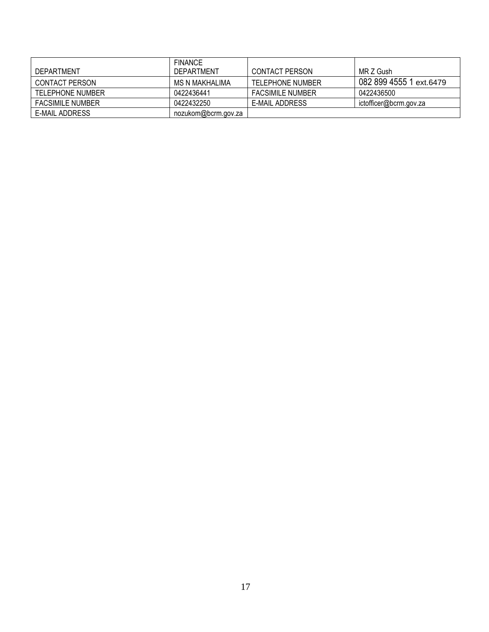|                         | <b>FINANCE</b>      |                         |                         |
|-------------------------|---------------------|-------------------------|-------------------------|
| DEPARTMENT              | DEPARTMENT          | <b>CONTACT PERSON</b>   | MR Z Gush               |
| CONTACT PERSON          | MS N MAKHALIMA      | <b>TELEPHONE NUMBER</b> | 082 899 4555 1 ext.6479 |
| TELEPHONE NUMBER        | 0422436441          | <b>FACSIMILE NUMBER</b> | 0422436500              |
| <b>FACSIMILE NUMBER</b> | 0422432250          | E-MAIL ADDRESS          | ictofficer@bcrm.gov.za  |
| E-MAIL ADDRESS          | nozukom@bcrm.gov.za |                         |                         |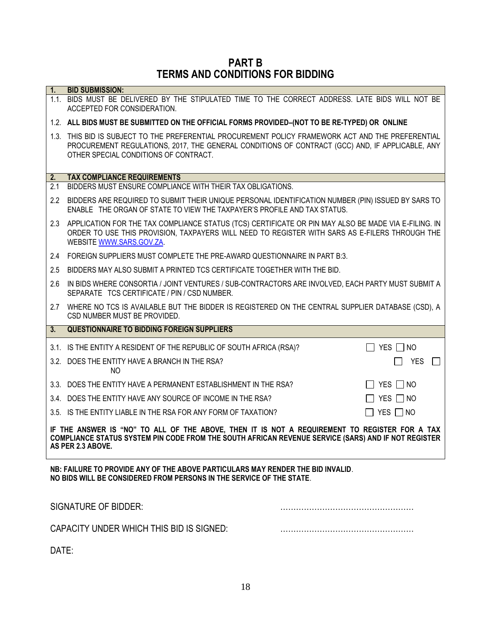# **PART B TERMS AND CONDITIONS FOR BIDDING**

| 1 <sub>1</sub> | <b>BID SUBMISSION:</b><br>1.1. BIDS MUST BE DELIVERED BY THE STIPULATED TIME TO THE CORRECT ADDRESS. LATE BIDS WILL NOT BE<br>ACCEPTED FOR CONSIDERATION.                                                                                      |                      |  |
|----------------|------------------------------------------------------------------------------------------------------------------------------------------------------------------------------------------------------------------------------------------------|----------------------|--|
|                | 1.2. ALL BIDS MUST BE SUBMITTED ON THE OFFICIAL FORMS PROVIDED-(NOT TO BE RE-TYPED) OR ONLINE                                                                                                                                                  |                      |  |
|                | 1.3. THIS BID IS SUBJECT TO THE PREFERENTIAL PROCUREMENT POLICY FRAMEWORK ACT AND THE PREFERENTIAL<br>PROCUREMENT REGULATIONS, 2017, THE GENERAL CONDITIONS OF CONTRACT (GCC) AND, IF APPLICABLE, ANY<br>OTHER SPECIAL CONDITIONS OF CONTRACT. |                      |  |
| 2.             | <b>TAX COMPLIANCE REQUIREMENTS</b>                                                                                                                                                                                                             |                      |  |
| 2.1            | BIDDERS MUST ENSURE COMPLIANCE WITH THEIR TAX OBLIGATIONS.                                                                                                                                                                                     |                      |  |
| $2.2^{\circ}$  | BIDDERS ARE REQUIRED TO SUBMIT THEIR UNIQUE PERSONAL IDENTIFICATION NUMBER (PIN) ISSUED BY SARS TO<br>ENABLE THE ORGAN OF STATE TO VIEW THE TAXPAYER'S PROFILE AND TAX STATUS.                                                                 |                      |  |
|                | 2.3 APPLICATION FOR THE TAX COMPLIANCE STATUS (TCS) CERTIFICATE OR PIN MAY ALSO BE MADE VIA E-FILING. IN<br>ORDER TO USE THIS PROVISION, TAXPAYERS WILL NEED TO REGISTER WITH SARS AS E-FILERS THROUGH THE<br>WEBSITE WWW.SARS.GOV.ZA.         |                      |  |
| 2.4            | FOREIGN SUPPLIERS MUST COMPLETE THE PRE-AWARD QUESTIONNAIRE IN PART B:3.                                                                                                                                                                       |                      |  |
| 2.5            | BIDDERS MAY ALSO SUBMIT A PRINTED TCS CERTIFICATE TOGETHER WITH THE BID.                                                                                                                                                                       |                      |  |
| 2.6            | IN BIDS WHERE CONSORTIA / JOINT VENTURES / SUB-CONTRACTORS ARE INVOLVED, EACH PARTY MUST SUBMIT A<br>SEPARATE TCS CERTIFICATE / PIN / CSD NUMBER.                                                                                              |                      |  |
| 2.7            | WHERE NO TCS IS AVAILABLE BUT THE BIDDER IS REGISTERED ON THE CENTRAL SUPPLIER DATABASE (CSD), A<br>CSD NUMBER MUST BE PROVIDED.                                                                                                               |                      |  |
| 3.             | <b>QUESTIONNAIRE TO BIDDING FOREIGN SUPPLIERS</b>                                                                                                                                                                                              |                      |  |
|                | 3.1. IS THE ENTITY A RESIDENT OF THE REPUBLIC OF SOUTH AFRICA (RSA)?                                                                                                                                                                           | $\Box$ YES $\Box$ NO |  |
|                | 3.2. DOES THE ENTITY HAVE A BRANCH IN THE RSA?<br>NO.                                                                                                                                                                                          | YES<br>$\mathbf{L}$  |  |
|                | 3.3. DOES THE ENTITY HAVE A PERMANENT ESTABLISHMENT IN THE RSA?                                                                                                                                                                                | $\Box$ YES $\Box$ NO |  |
|                | 3.4. DOES THE ENTITY HAVE ANY SOURCE OF INCOME IN THE RSA?                                                                                                                                                                                     | $\Box$ YES $\Box$ NO |  |
|                | 3.5. IS THE ENTITY LIABLE IN THE RSA FOR ANY FORM OF TAXATION?                                                                                                                                                                                 | $\Box$ YES $\Box$ NO |  |
|                | IF THE ANSWER IS "NO" TO ALL OF THE ABOVE, THEN IT IS NOT A REQUIREMENT TO REGISTER FOR A TAX<br>COMPLIANCE STATUS SYSTEM PIN CODE FROM THE SOUTH AFRICAN REVENUE SERVICE (SARS) AND IF NOT REGISTER<br>AS PER 2.3 ABOVE.                      |                      |  |
|                | NB: FAILURE TO PROVIDE ANY OF THE ABOVE PARTICULARS MAY RENDER THE BID INVALID.<br>NO BIDS WILL BE CONSIDERED FROM PERSONS IN THE SERVICE OF THE STATE.                                                                                        |                      |  |
|                | <b>SIGNATURE OF BIDDER:</b>                                                                                                                                                                                                                    |                      |  |

CAPACITY UNDER WHICH THIS BID IS SIGNED: ……………………………………………

DATE: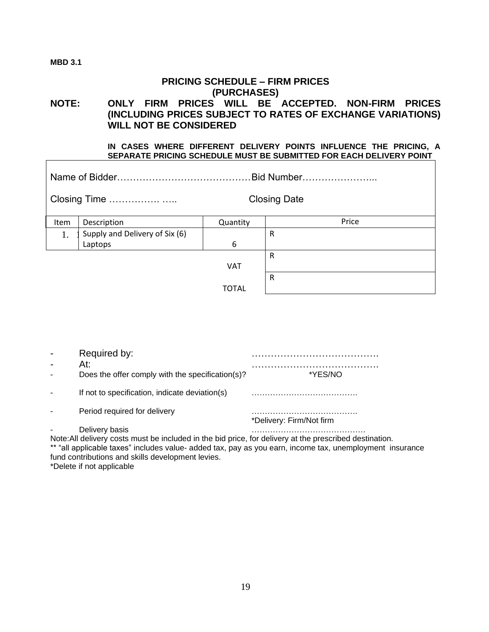## **MBD 3.1**

# **PRICING SCHEDULE – FIRM PRICES (PURCHASES) NOTE: ONLY FIRM PRICES WILL BE ACCEPTED. NON-FIRM PRICES (INCLUDING PRICES SUBJECT TO RATES OF EXCHANGE VARIATIONS) WILL NOT BE CONSIDERED**

**IN CASES WHERE DIFFERENT DELIVERY POINTS INFLUENCE THE PRICING, A SEPARATE PRICING SCHEDULE MUST BE SUBMITTED FOR EACH DELIVERY POINT** 

| Closing Time |                                |            | <b>Closing Date</b> |  |  |
|--------------|--------------------------------|------------|---------------------|--|--|
| Item         | Description                    | Quantity   | Price               |  |  |
| 1.           | Supply and Delivery of Six (6) |            | R                   |  |  |
|              | Laptops                        | 6          |                     |  |  |
|              |                                |            | R                   |  |  |
|              |                                | <b>VAT</b> |                     |  |  |
|              |                                |            | R                   |  |  |
|              |                                | TOTAL      |                     |  |  |

| Required by:                                                                                                                                                                                                           |                          |
|------------------------------------------------------------------------------------------------------------------------------------------------------------------------------------------------------------------------|--------------------------|
| At:                                                                                                                                                                                                                    | *YES/NO                  |
| Does the offer comply with the specification(s)?                                                                                                                                                                       |                          |
| If not to specification, indicate deviation(s)                                                                                                                                                                         |                          |
| Period required for delivery                                                                                                                                                                                           |                          |
|                                                                                                                                                                                                                        | *Delivery: Firm/Not firm |
| Delivery basis                                                                                                                                                                                                         |                          |
| Note: All delivery costs must be included in the bid price, for delivery at the prescribed destination.<br>** "all annibation force" beliefer indice to delegate in a company of the core term in an objective and the |                          |

"all applicable taxes" includes value- added tax, pay as you earn, income tax, unemployment insurance fund contributions and skills development levies. \*Delete if not applicable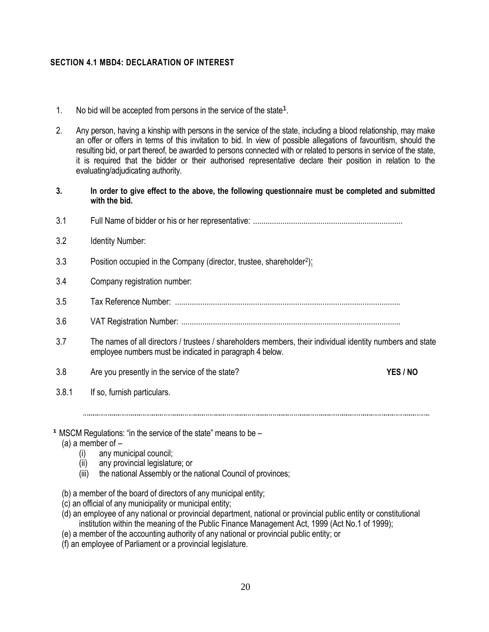## **SECTION 4.1 MBD4: DECLARATION OF INTEREST**

- 1. No bid will be accepted from persons in the service of the state<sup>1</sup>.
- 2. Any person, having a kinship with persons in the service of the state, including a blood relationship, may make an offer or offers in terms of this invitation to bid. In view of possible allegations of favouritism, should the resulting bid, or part thereof, be awarded to persons connected with or related to persons in service of the state, it is required that the bidder or their authorised representative declare their position in relation to the evaluating/adjudicating authority.
- **3. In order to give effect to the above, the following questionnaire must be completed and submitted with the bid.**
- 3.1 Full Name of bidder or his or her representative: .......................................................................
- 3.2 Identity Number:
- 3.3 Position occupied in the Company (director, trustee, shareholder<sup>2</sup>):
- 3.4 Company registration number:
- 3.5 Tax Reference Number: ...........................................................................................................
- 3.6 VAT Registration Number: ........................................................................................................
- 3.7 The names of all directors / trustees / shareholders members, their individual identity numbers and state employee numbers must be indicated in paragraph 4 below.

- 3.8 Are you presently in the service of the state? **YES / NO**
- 

3.8.1 If so, furnish particulars.

- **¹** MSCM Regulations: "in the service of the state" means to be
	- (a) a member of  $-$ 
		- (i) any municipal council;<br>(ii) any provincial legislatu
		- any provincial legislature; or
		- (iii) the national Assembly or the national Council of provinces;
	- (b) a member of the board of directors of any municipal entity;
	- (c) an official of any municipality or municipal entity;
	- (d) an employee of any national or provincial department, national or provincial public entity or constitutional institution within the meaning of the Public Finance Management Act, 1999 (Act No.1 of 1999);
	- (e) a member of the accounting authority of any national or provincial public entity; or
	- (f) an employee of Parliament or a provincial legislature.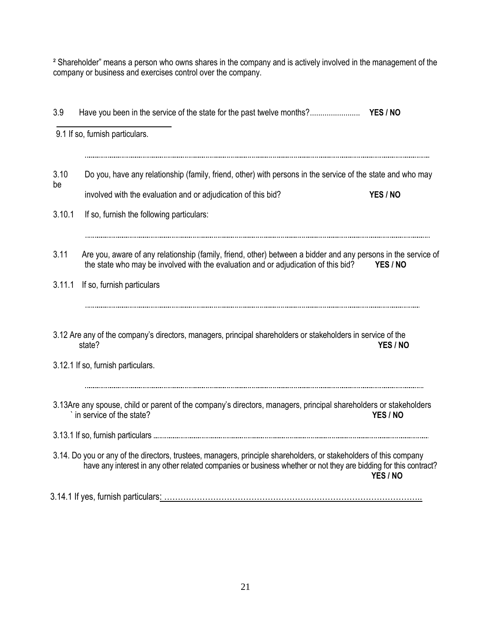<sup>2</sup> Shareholder" means a person who owns shares in the company and is actively involved in the management of the company or business and exercises control over the company.

| 3.9        |                                                                                                                                                                                                                                      |          |
|------------|--------------------------------------------------------------------------------------------------------------------------------------------------------------------------------------------------------------------------------------|----------|
|            | 9.1 If so, furnish particulars.                                                                                                                                                                                                      |          |
| 3.10<br>be | Do you, have any relationship (family, friend, other) with persons in the service of the state and who may<br>involved with the evaluation and or adjudication of this bid?                                                          | YES / NO |
| 3.10.1     | If so, furnish the following particulars:                                                                                                                                                                                            |          |
| 3.11       | Are you, aware of any relationship (family, friend, other) between a bidder and any persons in the service of<br>the state who may be involved with the evaluation and or adjudication of this bid?                                  | YES / NO |
| 3.11.1     | If so, furnish particulars                                                                                                                                                                                                           |          |
|            | 3.12 Are any of the company's directors, managers, principal shareholders or stakeholders in service of the<br>state?                                                                                                                | YES / NO |
|            | 3.12.1 If so, furnish particulars.                                                                                                                                                                                                   |          |
|            | 3.13Are any spouse, child or parent of the company's directors, managers, principal shareholders or stakeholders<br>in service of the state?                                                                                         | YES / NO |
|            |                                                                                                                                                                                                                                      |          |
|            | 3.14. Do you or any of the directors, trustees, managers, principle shareholders, or stakeholders of this company<br>have any interest in any other related companies or business whether or not they are bidding for this contract? | YES / NO |
|            |                                                                                                                                                                                                                                      |          |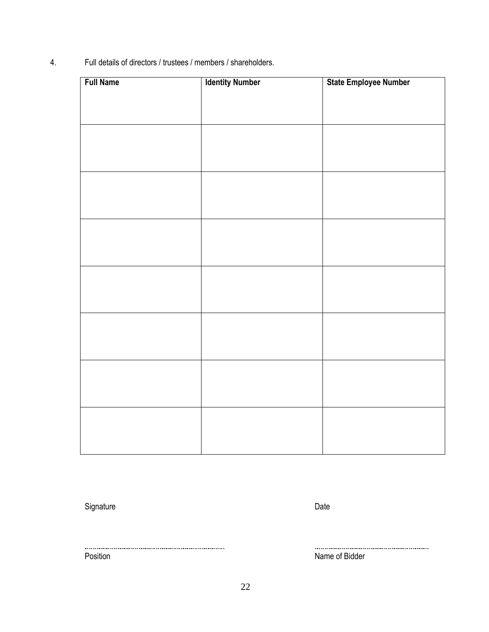4. Full details of directors / trustees / members / shareholders.

| <b>Full Name</b> | <b>Identity Number</b> | State Employee Number |
|------------------|------------------------|-----------------------|
|                  |                        |                       |
|                  |                        |                       |
|                  |                        |                       |
|                  |                        |                       |
|                  |                        |                       |
|                  |                        |                       |
|                  |                        |                       |
|                  |                        |                       |
|                  |                        |                       |
|                  |                        |                       |
|                  |                        |                       |
|                  |                        |                       |
|                  |                        |                       |
|                  |                        |                       |
|                  |                        |                       |
|                  |                        |                       |
|                  |                        |                       |
|                  |                        |                       |
|                  |                        |                       |
|                  |                        |                       |
|                  |                        |                       |
|                  |                        |                       |
|                  |                        |                       |

Signature Date Date Communications and Date Date Date

Position **Name of Bidder**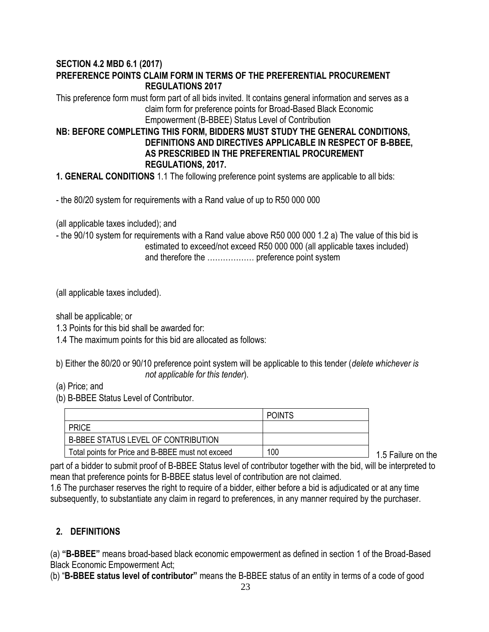# **SECTION 4.2 MBD 6.1 (2017) PREFERENCE POINTS CLAIM FORM IN TERMS OF THE PREFERENTIAL PROCUREMENT REGULATIONS 2017**

This preference form must form part of all bids invited. It contains general information and serves as a claim form for preference points for Broad-Based Black Economic Empowerment (B-BBEE) Status Level of Contribution

# **NB: BEFORE COMPLETING THIS FORM, BIDDERS MUST STUDY THE GENERAL CONDITIONS, DEFINITIONS AND DIRECTIVES APPLICABLE IN RESPECT OF B-BBEE, AS PRESCRIBED IN THE PREFERENTIAL PROCUREMENT REGULATIONS, 2017.**

**1. GENERAL CONDITIONS** 1.1 The following preference point systems are applicable to all bids:

- the 80/20 system for requirements with a Rand value of up to R50 000 000

(all applicable taxes included); and

- the 90/10 system for requirements with a Rand value above R50 000 000 1.2 a) The value of this bid is estimated to exceed/not exceed R50 000 000 (all applicable taxes included) and therefore the ……………… preference point system

(all applicable taxes included).

shall be applicable; or

- 1.3 Points for this bid shall be awarded for:
- 1.4 The maximum points for this bid are allocated as follows:

b) Either the 80/20 or 90/10 preference point system will be applicable to this tender (*delete whichever is not applicable for this tender*).

- (a) Price; and
- (b) B-BBEE Status Level of Contributor.

|                                                   | <b>POINTS</b> |
|---------------------------------------------------|---------------|
| <b>PRICE</b>                                      |               |
| B-BBEE STATUS LEVEL OF CONTRIBUTION               |               |
| Total points for Price and B-BBEE must not exceed | 100           |

1.5 Failure on the

part of a bidder to submit proof of B-BBEE Status level of contributor together with the bid, will be interpreted to mean that preference points for B-BBEE status level of contribution are not claimed.

1.6 The purchaser reserves the right to require of a bidder, either before a bid is adjudicated or at any time subsequently, to substantiate any claim in regard to preferences, in any manner required by the purchaser.

# **2. DEFINITIONS**

(a) **"B-BBEE"** means broad-based black economic empowerment as defined in section 1 of the Broad-Based Black Economic Empowerment Act;

(b) "**B-BBEE status level of contributor"** means the B-BBEE status of an entity in terms of a code of good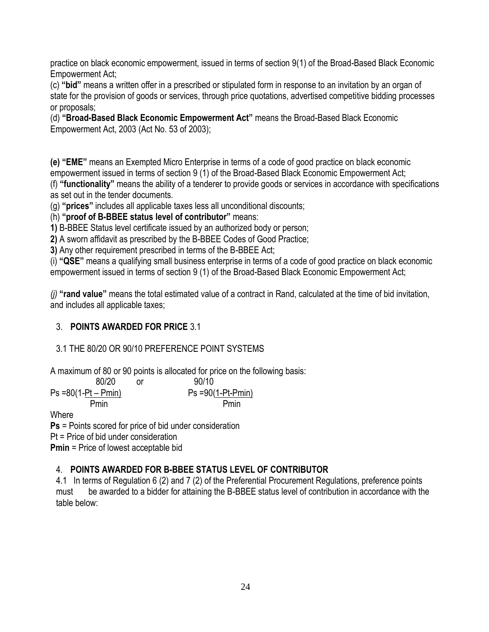practice on black economic empowerment, issued in terms of section 9(1) of the Broad-Based Black Economic Empowerment Act;

(c) **"bid"** means a written offer in a prescribed or stipulated form in response to an invitation by an organ of state for the provision of goods or services, through price quotations, advertised competitive bidding processes or proposals;

(d) **"Broad-Based Black Economic Empowerment Act"** means the Broad-Based Black Economic Empowerment Act, 2003 (Act No. 53 of 2003);

**(e) "EME"** means an Exempted Micro Enterprise in terms of a code of good practice on black economic empowerment issued in terms of section 9 (1) of the Broad-Based Black Economic Empowerment Act;

(f) **"functionality"** means the ability of a tenderer to provide goods or services in accordance with specifications as set out in the tender documents.

(g) **"prices"** includes all applicable taxes less all unconditional discounts;

(h) **"proof of B-BBEE status level of contributor"** means:

**1)** B-BBEE Status level certificate issued by an authorized body or person;

**2)** A sworn affidavit as prescribed by the B-BBEE Codes of Good Practice;

**3)** Any other requirement prescribed in terms of the B-BBEE Act;

(i) **"QSE"** means a qualifying small business enterprise in terms of a code of good practice on black economic empowerment issued in terms of section 9 (1) of the Broad-Based Black Economic Empowerment Act;

*(j)* **"rand value"** means the total estimated value of a contract in Rand, calculated at the time of bid invitation, and includes all applicable taxes;

# 3. **POINTS AWARDED FOR PRICE** 3.1

# 3.1 THE 80/20 OR 90/10 PREFERENCE POINT SYSTEMS

A maximum of 80 or 90 points is allocated for price on the following basis:

80/20 or  
\n
$$
Ps = 80(1 - Pt - Pmin)
$$
 or  
\n $Ps = 90(1 - Pt - Pmin)$   
\n $Pmin$  Pmin

**Where** 

**Ps** = Points scored for price of bid under consideration Pt = Price of bid under consideration **Pmin** = Price of lowest acceptable bid

# 4. **POINTS AWARDED FOR B-BBEE STATUS LEVEL OF CONTRIBUTOR**

4.1 In terms of Regulation 6 (2) and 7 (2) of the Preferential Procurement Regulations, preference points must be awarded to a bidder for attaining the B-BBEE status level of contribution in accordance with the table below: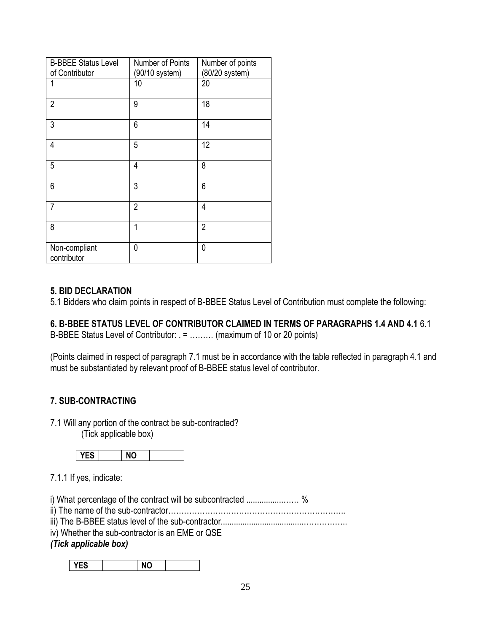| <b>B-BBEE Status Level</b><br>of Contributor | Number of Points<br>(90/10 system) | Number of points<br>(80/20 system) |
|----------------------------------------------|------------------------------------|------------------------------------|
| 1                                            | 10                                 | 20                                 |
| $\overline{2}$                               | 9                                  | 18                                 |
| 3                                            | 6                                  | 14                                 |
| 4                                            | 5                                  | 12                                 |
| 5                                            | 4                                  | 8                                  |
| 6                                            | 3                                  | 6                                  |
| $\overline{7}$                               | $\overline{2}$                     | $\overline{4}$                     |
| 8                                            | 1                                  | $\overline{2}$                     |
| Non-compliant<br>contributor                 | 0                                  | 0                                  |

## **5. BID DECLARATION**

5.1 Bidders who claim points in respect of B-BBEE Status Level of Contribution must complete the following:

# **6. B-BBEE STATUS LEVEL OF CONTRIBUTOR CLAIMED IN TERMS OF PARAGRAPHS 1.4 AND 4.1** 6.1

B-BBEE Status Level of Contributor: . = ……… (maximum of 10 or 20 points)

(Points claimed in respect of paragraph 7.1 must be in accordance with the table reflected in paragraph 4.1 and must be substantiated by relevant proof of B-BBEE status level of contributor.

# **7. SUB-CONTRACTING**

7.1 Will any portion of the contract be sub-contracted? (Tick applicable box)

7.1.1 If yes, indicate:

i) What percentage of the contract will be subcontracted .................…… %

- ii) The name of the sub-contractor…………………………………………………………..
- iii) The B-BBEE status level of the sub-contractor......................................……………..
- iv) Whether the sub-contractor is an EME or QSE

# *(Tick applicable box)*

**YES NO**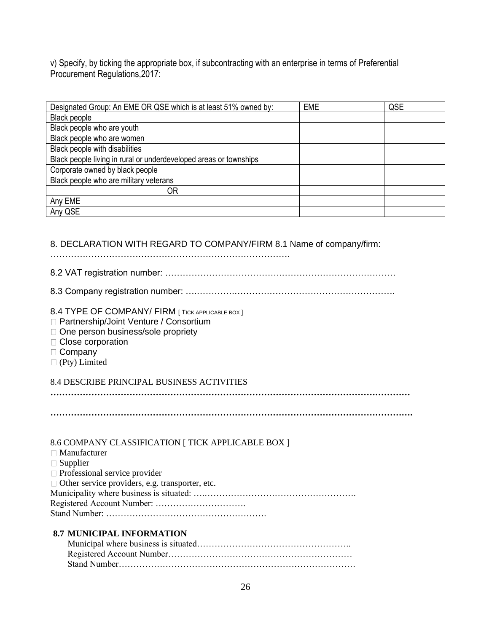v) Specify, by ticking the appropriate box, if subcontracting with an enterprise in terms of Preferential Procurement Regulations, 2017:

| Designated Group: An EME OR QSE which is at least 51% owned by:   | <b>EME</b> | QSE |
|-------------------------------------------------------------------|------------|-----|
| Black people                                                      |            |     |
| Black people who are youth                                        |            |     |
| Black people who are women                                        |            |     |
| Black people with disabilities                                    |            |     |
| Black people living in rural or underdeveloped areas or townships |            |     |
| Corporate owned by black people                                   |            |     |
| Black people who are military veterans                            |            |     |
| ΟR                                                                |            |     |
| Any EME                                                           |            |     |
| Any QSE                                                           |            |     |

## 8. DECLARATION WITH REGARD TO COMPANY/FIRM 8.1 Name of company/firm:

……………………………………………………………………….

- 8.2 VAT registration number: ………………………………….…………………………………
- 8.3 Company registration number: ….………….……………………………………………….
- 8.4 TYPE OF COMPANY/ FIRM [ TICK APPLICABLE BOX ]
- □ Partnership/Joint Venture / Consortium
- □ One person business/sole propriety
- □ Close corporation
- □ Company
- (Pty) Limited

## 8.4 DESCRIBE PRINCIPAL BUSINESS ACTIVITIES

**……………………………………………………………………………………………………………**

**…………………………………………………………………………………………………………….**

## 8.6 COMPANY CLASSIFICATION [ TICK APPLICABLE BOX ]

| $\Box$ Manufacturer                                    |
|--------------------------------------------------------|
| $\Box$ Supplier                                        |
| $\Box$ Professional service provider                   |
| $\Box$ Other service providers, e.g. transporter, etc. |
|                                                        |
|                                                        |
|                                                        |
|                                                        |

## **8.7 MUNICIPAL INFORMATION**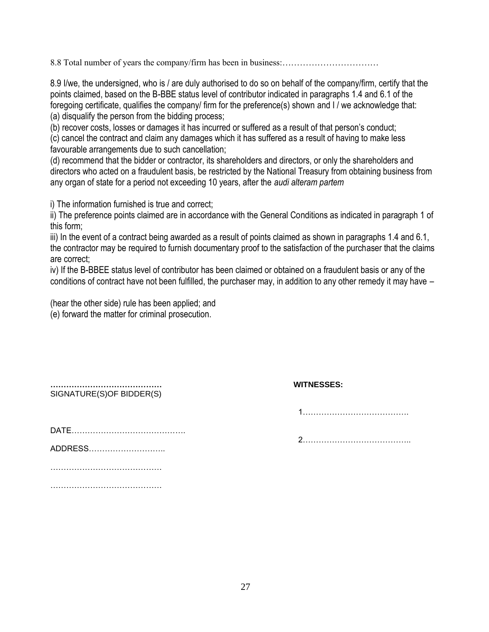8.8 Total number of years the company/firm has been in business:……………………………

8.9 I/we, the undersigned, who is / are duly authorised to do so on behalf of the company/firm, certify that the points claimed, based on the B-BBE status level of contributor indicated in paragraphs 1.4 and 6.1 of the foregoing certificate, qualifies the company/ firm for the preference(s) shown and I / we acknowledge that: (a) disqualify the person from the bidding process;

(b) recover costs, losses or damages it has incurred or suffered as a result of that person's conduct;

(c) cancel the contract and claim any damages which it has suffered as a result of having to make less favourable arrangements due to such cancellation;

(d) recommend that the bidder or contractor, its shareholders and directors, or only the shareholders and directors who acted on a fraudulent basis, be restricted by the National Treasury from obtaining business from any organ of state for a period not exceeding 10 years, after the *audi alteram partem* 

i) The information furnished is true and correct;

ii) The preference points claimed are in accordance with the General Conditions as indicated in paragraph 1 of this form;

iii) In the event of a contract being awarded as a result of points claimed as shown in paragraphs 1.4 and 6.1, the contractor may be required to furnish documentary proof to the satisfaction of the purchaser that the claims are correct;

iv) If the B-BBEE status level of contributor has been claimed or obtained on a fraudulent basis or any of the conditions of contract have not been fulfilled, the purchaser may, in addition to any other remedy it may have –

(hear the other side) rule has been applied; and (e) forward the matter for criminal prosecution.

| SIGNATURE(S)OF BIDDER(S) |  |  |  |  |  |  |  |  |  |  |  |  |
|--------------------------|--|--|--|--|--|--|--|--|--|--|--|--|

DATE…………………………………….

ADDRESS………………………..

……………………………………………

……………………………………………

# **…………………………………… WITNESSES:**

1………………………………….

2…………………………………..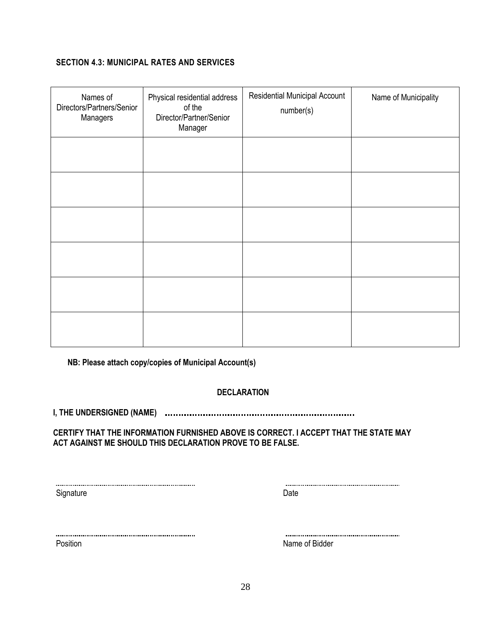# **SECTION 4.3: MUNICIPAL RATES AND SERVICES**

| Names of<br>Directors/Partners/Senior<br>Managers | Physical residential address<br>of the<br>Director/Partner/Senior<br>Manager | <b>Residential Municipal Account</b><br>number(s) | Name of Municipality |
|---------------------------------------------------|------------------------------------------------------------------------------|---------------------------------------------------|----------------------|
|                                                   |                                                                              |                                                   |                      |
|                                                   |                                                                              |                                                   |                      |
|                                                   |                                                                              |                                                   |                      |
|                                                   |                                                                              |                                                   |                      |
|                                                   |                                                                              |                                                   |                      |
|                                                   |                                                                              |                                                   |                      |

**NB: Please attach copy/copies of Municipal Account(s)**

## **DECLARATION**

**I, THE UNDERSIGNED (NAME)**

## **CERTIFY THAT THE INFORMATION FURNISHED ABOVE IS CORRECT. I ACCEPT THAT THE STATE MAY ACT AGAINST ME SHOULD THIS DECLARATION PROVE TO BE FALSE.**

Signature Date

Position Name of Bidder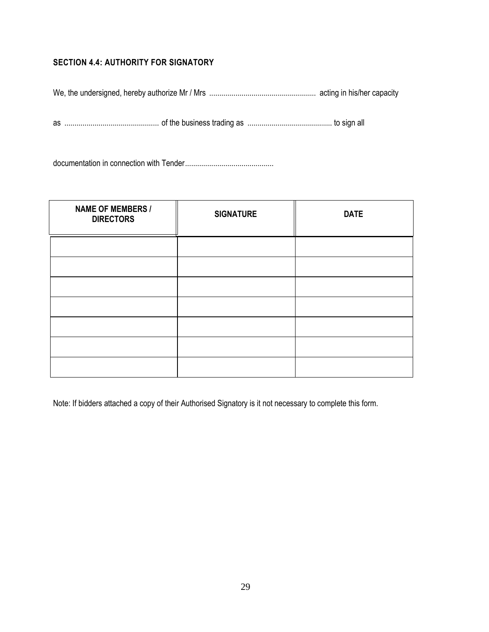# **SECTION 4.4: AUTHORITY FOR SIGNATORY**

We, the undersigned, hereby authorize Mr / Mrs ..................................................... acting in his/her capacity

as ............................................... of the business trading as .......................................... to sign all

documentation in connection with Tender............................................

| <b>NAME OF MEMBERS /</b><br><b>DIRECTORS</b> | <b>SIGNATURE</b> | <b>DATE</b> |
|----------------------------------------------|------------------|-------------|
|                                              |                  |             |
|                                              |                  |             |
|                                              |                  |             |
|                                              |                  |             |
|                                              |                  |             |
|                                              |                  |             |
|                                              |                  |             |

Note: If bidders attached a copy of their Authorised Signatory is it not necessary to complete this form.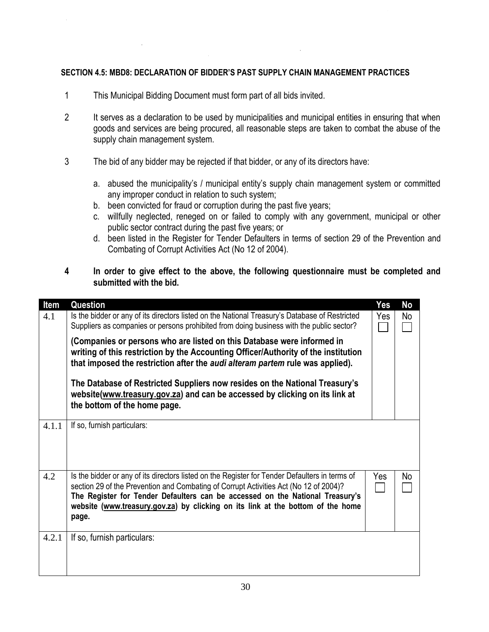## **SECTION 4.5: MBD8: DECLARATION OF BIDDER'S PAST SUPPLY CHAIN MANAGEMENT PRACTICES**

- 1 This Municipal Bidding Document must form part of all bids invited.
- 2 It serves as a declaration to be used by municipalities and municipal entities in ensuring that when goods and services are being procured, all reasonable steps are taken to combat the abuse of the supply chain management system.
- 3 The bid of any bidder may be rejected if that bidder, or any of its directors have:
	- a. abused the municipality's / municipal entity's supply chain management system or committed any improper conduct in relation to such system;
	- b. been convicted for fraud or corruption during the past five years;
	- c. willfully neglected, reneged on or failed to comply with any government, municipal or other public sector contract during the past five years; or
	- d. been listed in the Register for Tender Defaulters in terms of section 29 of the Prevention and Combating of Corrupt Activities Act (No 12 of 2004).
- **4 In order to give effect to the above, the following questionnaire must be completed and submitted with the bid.**

| Item  | Question                                                                                                                                                                                                                                                                                                                                                             | Yes | No |
|-------|----------------------------------------------------------------------------------------------------------------------------------------------------------------------------------------------------------------------------------------------------------------------------------------------------------------------------------------------------------------------|-----|----|
| 4.1   | Is the bidder or any of its directors listed on the National Treasury's Database of Restricted<br>Suppliers as companies or persons prohibited from doing business with the public sector?                                                                                                                                                                           | Yes | No |
|       | (Companies or persons who are listed on this Database were informed in<br>writing of this restriction by the Accounting Officer/Authority of the institution<br>that imposed the restriction after the audi alteram partem rule was applied).                                                                                                                        |     |    |
|       | The Database of Restricted Suppliers now resides on the National Treasury's<br>website(www.treasury.gov.za) and can be accessed by clicking on its link at<br>the bottom of the home page.                                                                                                                                                                           |     |    |
| 4.1.1 | If so, furnish particulars:                                                                                                                                                                                                                                                                                                                                          |     |    |
| 4.2   | Is the bidder or any of its directors listed on the Register for Tender Defaulters in terms of<br>section 29 of the Prevention and Combating of Corrupt Activities Act (No 12 of 2004)?<br>The Register for Tender Defaulters can be accessed on the National Treasury's<br>website (www.treasury.gov.za) by clicking on its link at the bottom of the home<br>page. | Yes | No |
| 4.2.1 | If so, furnish particulars:                                                                                                                                                                                                                                                                                                                                          |     |    |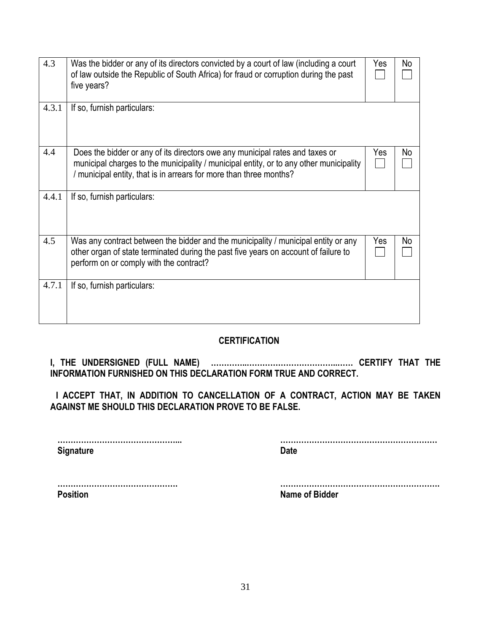| 4.3   | Was the bidder or any of its directors convicted by a court of law (including a court<br>of law outside the Republic of South Africa) for fraud or corruption during the past<br>five years?                                                 | Yes | No |
|-------|----------------------------------------------------------------------------------------------------------------------------------------------------------------------------------------------------------------------------------------------|-----|----|
| 4.3.1 | If so, furnish particulars:                                                                                                                                                                                                                  |     |    |
| 4.4   | Does the bidder or any of its directors owe any municipal rates and taxes or<br>municipal charges to the municipality / municipal entity, or to any other municipality<br>/ municipal entity, that is in arrears for more than three months? | Yes | No |
| 4.4.1 | If so, furnish particulars:                                                                                                                                                                                                                  |     |    |
| 4.5   | Was any contract between the bidder and the municipality / municipal entity or any<br>other organ of state terminated during the past five years on account of failure to<br>perform on or comply with the contract?                         | Yes | No |
| 4.7.1 | If so, furnish particulars:                                                                                                                                                                                                                  |     |    |

# **CERTIFICATION**

**I, THE UNDERSIGNED (FULL NAME) …………..……………………………..…… CERTIFY THAT THE INFORMATION FURNISHED ON THIS DECLARATION FORM TRUE AND CORRECT.**

**I ACCEPT THAT, IN ADDITION TO CANCELLATION OF A CONTRACT, ACTION MAY BE TAKEN AGAINST ME SHOULD THIS DECLARATION PROVE TO BE FALSE.**

**Signature Date** 

**………………………………………... ……………………………………………………**

**………………………………………. ……………………………………………………. Position Name of Bidder**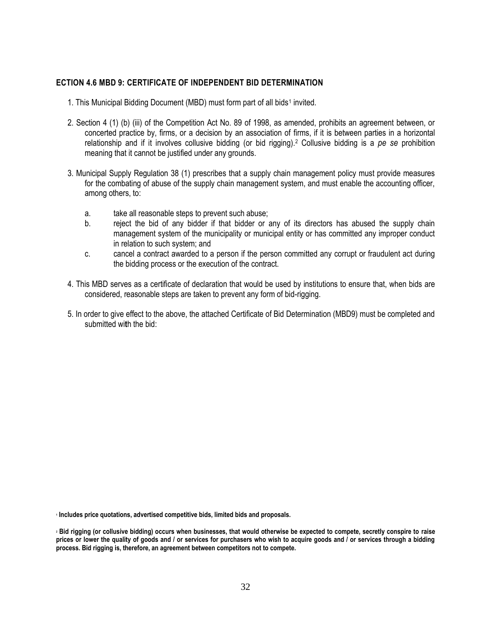## **ECTION 4.6 MBD 9: CERTIFICATE OF INDEPENDENT BID DETERMINATION**

- 1. This Municipal Bidding Document (MBD) must form part of all bids<sup>1</sup> invited.
- 2. Section 4 (1) (b) (iii) of the Competition Act No. 89 of 1998, as amended, prohibits an agreement between, or concerted practice by, firms, or a decision by an association of firms, if it is between parties in a horizontal relationship and if it involves collusive bidding (or bid rigging).<sup>2</sup> Collusive bidding is a *pe se* prohibition meaning that it cannot be justified under any grounds.
- 3. Municipal Supply Regulation 38 (1) prescribes that a supply chain management policy must provide measures for the combating of abuse of the supply chain management system, and must enable the accounting officer, among others, to:
	- a. take all reasonable steps to prevent such abuse;
	- b. reject the bid of any bidder if that bidder or any of its directors has abused the supply chain management system of the municipality or municipal entity or has committed any improper conduct in relation to such system; and
	- c. cancel a contract awarded to a person if the person committed any corrupt or fraudulent act during the bidding process or the execution of the contract.
- 4. This MBD serves as a certificate of declaration that would be used by institutions to ensure that, when bids are considered, reasonable steps are taken to prevent any form of bid-rigging.
- 5. In order to give effect to the above, the attached Certificate of Bid Determination (MBD9) must be completed and submitted wi**t**h the bid:

**1 Includes price quotations, advertised competitive bids, limited bids and proposals.**

**<sup>2</sup> Bid rigging (or collusive bidding) occurs when businesses, that would otherwise be expected to compete, secretly conspire to raise prices or lower the quality of goods and / or services for purchasers who wish to acquire goods and / or services through a bidding process. Bid rigging is, therefore, an agreement between competitors not to compete.**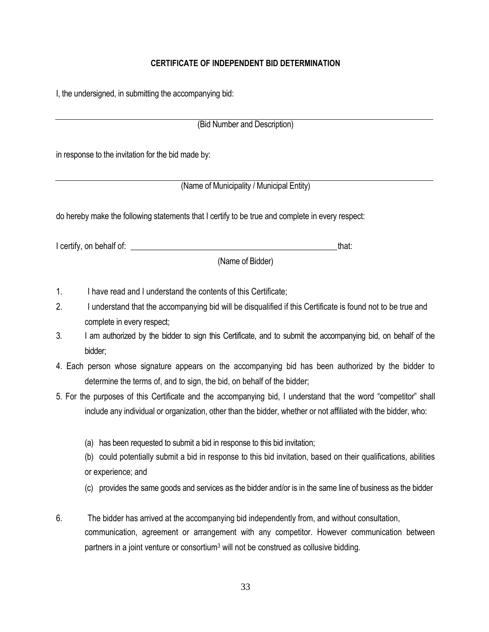## **CERTIFICATE OF INDEPENDENT BID DETERMINATION**

I, the undersigned, in submitting the accompanying bid:

(Bid Number and Description)

in response to the invitation for the bid made by:

(Name of Municipality / Municipal Entity)

do hereby make the following statements that I certify to be true and complete in every respect:

I certify, on behalf of: \_\_\_\_\_\_\_\_\_\_\_\_\_\_\_\_\_\_\_\_\_\_\_\_\_\_\_\_\_\_\_\_\_\_\_\_\_\_\_\_\_\_\_\_\_\_\_\_\_that:

(Name of Bidder)

- 1. I have read and I understand the contents of this Certificate;
- 2. I understand that the accompanying bid will be disqualified if this Certificate is found not to be true and complete in every respect;
- 3. I am authorized by the bidder to sign this Certificate, and to submit the accompanying bid, on behalf of the bidder;
- 4. Each person whose signature appears on the accompanying bid has been authorized by the bidder to determine the terms of, and to sign, the bid, on behalf of the bidder;
- 5. For the purposes of this Certificate and the accompanying bid, I understand that the word "competitor" shall include any individual or organization, other than the bidder, whether or not affiliated with the bidder, who:
	- (a) has been requested to submit a bid in response to this bid invitation;

(b) could potentially submit a bid in response to this bid invitation, based on their qualifications, abilities or experience; and

- (c) provides the same goods and services as the bidder and/or is in the same line of business as the bidder
- 6. The bidder has arrived at the accompanying bid independently from, and without consultation, communication, agreement or arrangement with any competitor. However communication between partners in a joint venture or consortium<sup>3</sup> will not be construed as collusive bidding.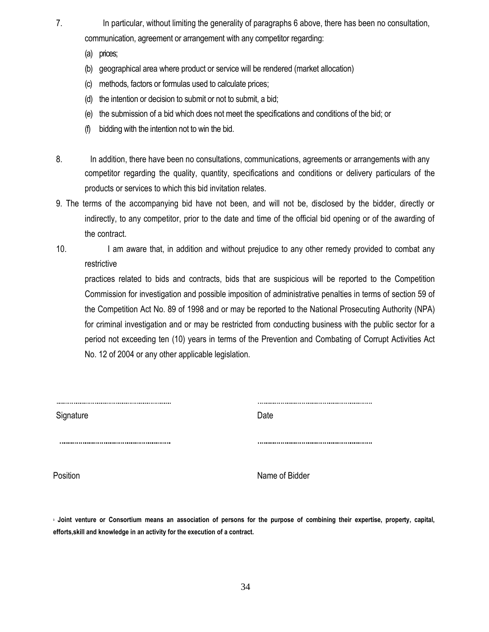- 7. In particular, without limiting the generality of paragraphs 6 above, there has been no consultation, communication, agreement or arrangement with any competitor regarding:
	- (a) prices;
	- (b) geographical area where product or service will be rendered (market allocation)
	- (c) methods, factors or formulas used to calculate prices;
	- (d) the intention or decision to submit or not to submit, a bid;
	- (e) the submission of a bid which does not meet the specifications and conditions of the bid; or
	- (f) bidding with the intention not to win the bid.
- 8. In addition, there have been no consultations, communications, agreements or arrangements with any competitor regarding the quality, quantity, specifications and conditions or delivery particulars of the products or services to which this bid invitation relates.
- 9. The terms of the accompanying bid have not been, and will not be, disclosed by the bidder, directly or indirectly, to any competitor, prior to the date and time of the official bid opening or of the awarding of the contract.
- 10. I am aware that, in addition and without prejudice to any other remedy provided to combat any restrictive

practices related to bids and contracts, bids that are suspicious will be reported to the Competition Commission for investigation and possible imposition of administrative penalties in terms of section 59 of the Competition Act No. 89 of 1998 and or may be reported to the National Prosecuting Authority (NPA) for criminal investigation and or may be restricted from conducting business with the public sector for a period not exceeding ten (10) years in terms of the Prevention and Combating of Corrupt Activities Act No. 12 of 2004 or any other applicable legislation.

| Signature | Date |
|-----------|------|
|           |      |

Position **Name of Bidder** 

**<sup>3</sup> Joint venture or Consortium means an association of persons for the purpose of combining their expertise, property, capital, efforts,skill and knowledge in an activity for the execution of a contract.**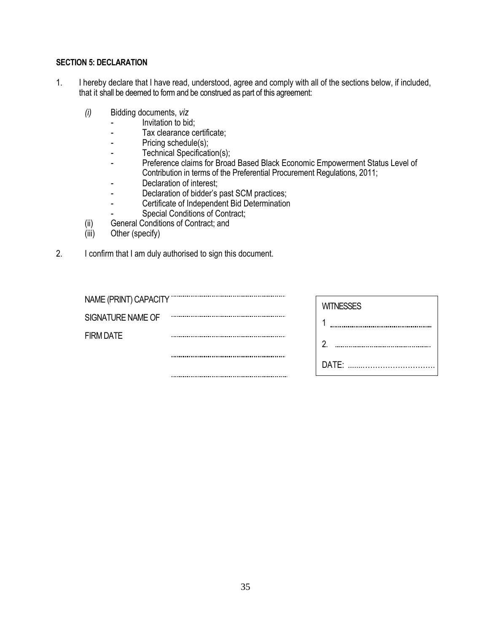## **SECTION 5: DECLARATION**

- 1. I hereby declare that I have read, understood, agree and comply with all of the sections below, if included, that it shall be deemed to form and be construed as part of this agreement:
	- *(i)* Bidding documents, *viz*
		- *-* Invitation to bid;
		- *-* Tax clearance certificate;
		- Pricing schedule(s);
		- *-* Technical Specification(s);
		- *-* Preference claims for Broad Based Black Economic Empowerment Status Level of Contribution in terms of the Preferential Procurement Regulations, 2011;
		- *-* Declaration of interest;
		- *-* Declaration of bidder's past SCM practices;
		- *-* Certificate of Independent Bid Determination
		- **Special Conditions of Contract;**
	- (ii) General Conditions of Contract; and<br>(iii) Other (specify)
	- Other (specify)
- 2. I confirm that I am duly authorised to sign this document.

| NAME (PRINT) CAPACITY | <b>WITNESSES</b> |
|-----------------------|------------------|
| SIGNATURE NAME OF     |                  |
| <b>FIRM DATE</b>      | <br>റ            |
|                       | <br>DATE:        |
|                       |                  |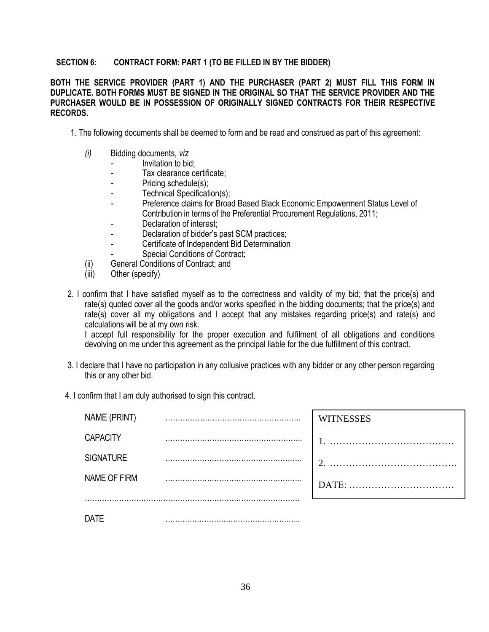## **SECTION 6: CONTRACT FORM: PART 1 (TO BE FILLED IN BY THE BIDDER)**

## **BOTH THE SERVICE PROVIDER (PART 1) AND THE PURCHASER (PART 2) MUST FILL THIS FORM IN DUPLICATE. BOTH FORMS MUST BE SIGNED IN THE ORIGINAL SO THAT THE SERVICE PROVIDER AND THE PURCHASER WOULD BE IN POSSESSION OF ORIGINALLY SIGNED CONTRACTS FOR THEIR RESPECTIVE RECORDS.**

- 1. The following documents shall be deemed to form and be read and construed as part of this agreement:
	- *(i)* Bidding documents, *viz*
		- *-* Invitation to bid;
		- *-* Tax clearance certificate;
		- *-* Pricing schedule(s);
		- *-* Technical Specification(s);
		- *-* Preference claims for Broad Based Black Economic Empowerment Status Level of Contribution in terms of the Preferential Procurement Regulations, 2011;
		- *-* Declaration of interest;
		- *-* Declaration of bidder's past SCM practices;
		- *-* Certificate of Independent Bid Determination
		- *-* Special Conditions of Contract;
	- (ii) General Conditions of Contract; and
	- (iii) Other (specify)
- 2. I confirm that I have satisfied myself as to the correctness and validity of my bid; that the price(s) and rate(s) quoted cover all the goods and/or works specified in the bidding documents; that the price(s) and rate(s) cover all my obligations and I accept that any mistakes regarding price(s) and rate(s) and calculations will be at my own risk.

I accept full responsibility for the proper execution and fulfilment of all obligations and conditions devolving on me under this agreement as the principal liable for the due fulfillment of this contract.

- 3. I declare that I have no participation in any collusive practices with any bidder or any other person regarding this or any other bid.
- 4. I confirm that I am duly authorised to sign this contract.

| NAME (PRINT)     | . | <b>WITNESSES</b> |
|------------------|---|------------------|
| <b>CAPACITY</b>  |   |                  |
| <b>SIGNATURE</b> |   |                  |
| NAME OF FIRM     | . |                  |
| DATE             |   |                  |